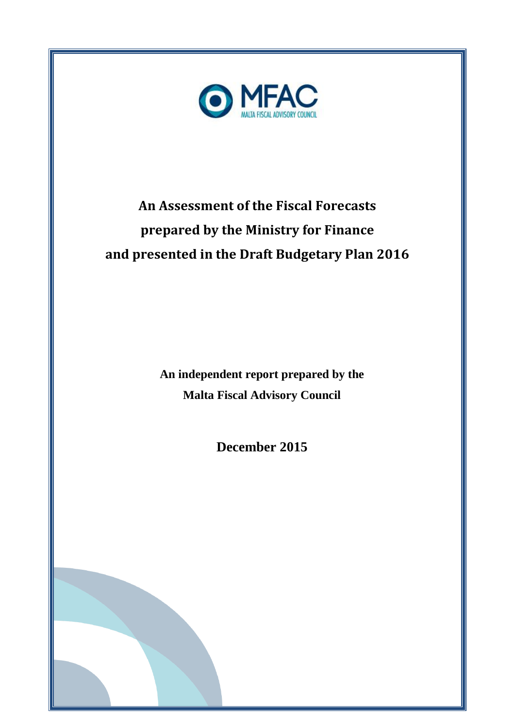

# **An Assessment of the Fiscal Forecasts prepared by the Ministry for Finance and presented in the Draft Budgetary Plan 2016**

**An independent report prepared by the Malta Fiscal Advisory Council**

**December 2015**

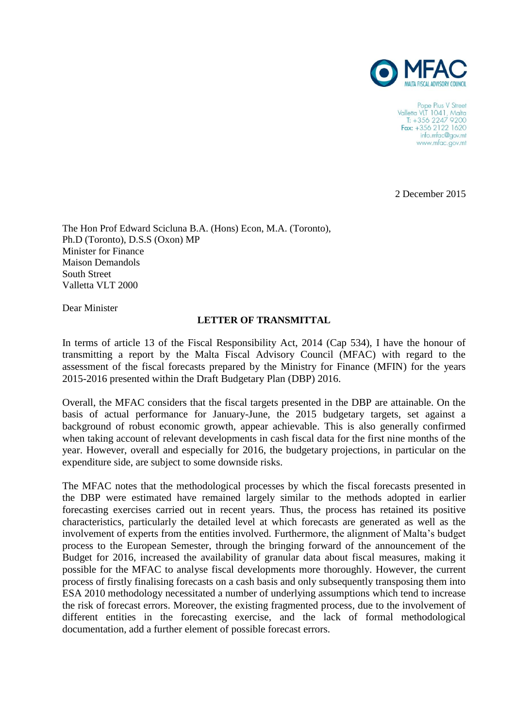

Pope Pius V Street Valletta VLT 1041, Malta<br>T: +356 2247 9200 Fax:  $+35621221620$ info.mfac@gov.mt www.mfac.gov.mt

2 December 2015

The Hon Prof Edward Scicluna B.A. (Hons) Econ, M.A. (Toronto), Ph.D (Toronto), D.S.S (Oxon) MP Minister for Finance Maison Demandols South Street Valletta VLT 2000

Dear Minister

#### **LETTER OF TRANSMITTAL**

In terms of article 13 of the Fiscal Responsibility Act, 2014 (Cap 534), I have the honour of transmitting a report by the Malta Fiscal Advisory Council (MFAC) with regard to the assessment of the fiscal forecasts prepared by the Ministry for Finance (MFIN) for the years 2015-2016 presented within the Draft Budgetary Plan (DBP) 2016.

Overall, the MFAC considers that the fiscal targets presented in the DBP are attainable. On the basis of actual performance for January-June, the 2015 budgetary targets, set against a background of robust economic growth, appear achievable. This is also generally confirmed when taking account of relevant developments in cash fiscal data for the first nine months of the year. However, overall and especially for 2016, the budgetary projections, in particular on the expenditure side, are subject to some downside risks.

The MFAC notes that the methodological processes by which the fiscal forecasts presented in the DBP were estimated have remained largely similar to the methods adopted in earlier forecasting exercises carried out in recent years. Thus, the process has retained its positive characteristics, particularly the detailed level at which forecasts are generated as well as the involvement of experts from the entities involved. Furthermore, the alignment of Malta's budget process to the European Semester, through the bringing forward of the announcement of the Budget for 2016, increased the availability of granular data about fiscal measures, making it possible for the MFAC to analyse fiscal developments more thoroughly. However, the current process of firstly finalising forecasts on a cash basis and only subsequently transposing them into ESA 2010 methodology necessitated a number of underlying assumptions which tend to increase the risk of forecast errors. Moreover, the existing fragmented process, due to the involvement of different entities in the forecasting exercise, and the lack of formal methodological documentation, add a further element of possible forecast errors.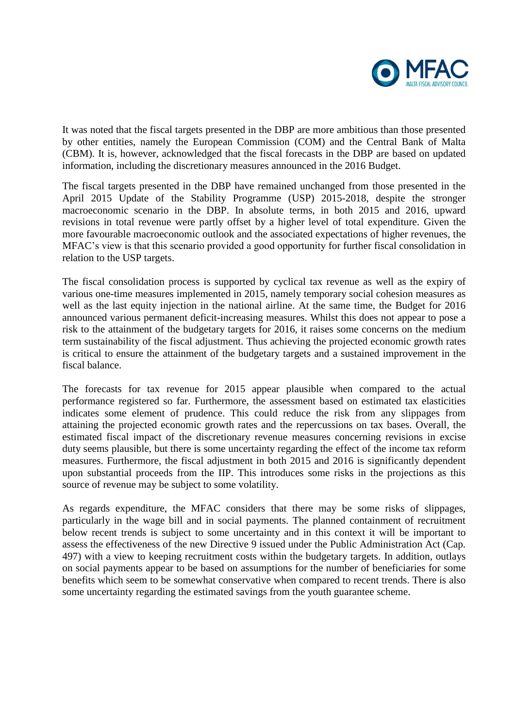

It was noted that the fiscal targets presented in the DBP are more ambitious than those presented by other entities, namely the European Commission (COM) and the Central Bank of Malta (CBM). It is, however, acknowledged that the fiscal forecasts in the DBP are based on updated information, including the discretionary measures announced in the 2016 Budget.

The fiscal targets presented in the DBP have remained unchanged from those presented in the April 2015 Update of the Stability Programme (USP) 2015-2018, despite the stronger macroeconomic scenario in the DBP. In absolute terms, in both 2015 and 2016, upward revisions in total revenue were partly offset by a higher level of total expenditure. Given the more favourable macroeconomic outlook and the associated expectations of higher revenues, the MFAC's view is that this scenario provided a good opportunity for further fiscal consolidation in relation to the USP targets.

The fiscal consolidation process is supported by cyclical tax revenue as well as the expiry of various one-time measures implemented in 2015, namely temporary social cohesion measures as well as the last equity injection in the national airline. At the same time, the Budget for 2016 announced various permanent deficit-increasing measures. Whilst this does not appear to pose a risk to the attainment of the budgetary targets for 2016, it raises some concerns on the medium term sustainability of the fiscal adjustment. Thus achieving the projected economic growth rates is critical to ensure the attainment of the budgetary targets and a sustained improvement in the fiscal balance.

The forecasts for tax revenue for 2015 appear plausible when compared to the actual performance registered so far. Furthermore, the assessment based on estimated tax elasticities indicates some element of prudence. This could reduce the risk from any slippages from attaining the projected economic growth rates and the repercussions on tax bases. Overall, the estimated fiscal impact of the discretionary revenue measures concerning revisions in excise duty seems plausible, but there is some uncertainty regarding the effect of the income tax reform measures. Furthermore, the fiscal adjustment in both 2015 and 2016 is significantly dependent upon substantial proceeds from the IIP. This introduces some risks in the projections as this source of revenue may be subject to some volatility.

As regards expenditure, the MFAC considers that there may be some risks of slippages, particularly in the wage bill and in social payments. The planned containment of recruitment below recent trends is subject to some uncertainty and in this context it will be important to assess the effectiveness of the new Directive 9 issued under the Public Administration Act (Cap. 497) with a view to keeping recruitment costs within the budgetary targets. In addition, outlays on social payments appear to be based on assumptions for the number of beneficiaries for some benefits which seem to be somewhat conservative when compared to recent trends. There is also some uncertainty regarding the estimated savings from the youth guarantee scheme.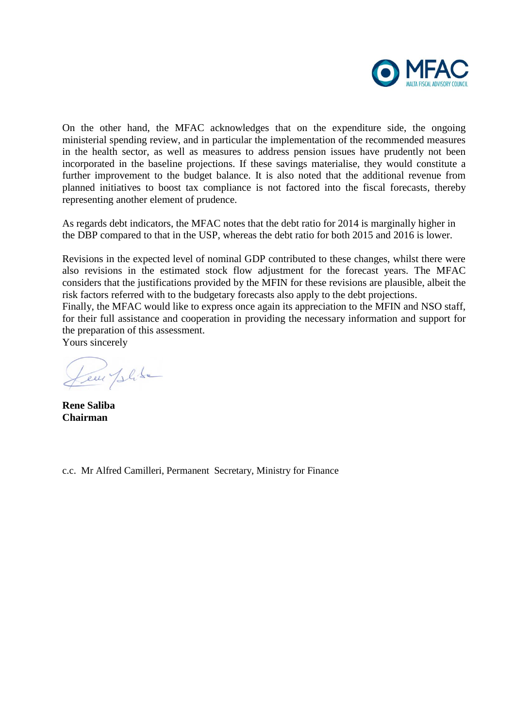

On the other hand, the MFAC acknowledges that on the expenditure side, the ongoing ministerial spending review, and in particular the implementation of the recommended measures in the health sector, as well as measures to address pension issues have prudently not been incorporated in the baseline projections. If these savings materialise, they would constitute a further improvement to the budget balance. It is also noted that the additional revenue from planned initiatives to boost tax compliance is not factored into the fiscal forecasts, thereby representing another element of prudence.

As regards debt indicators, the MFAC notes that the debt ratio for 2014 is marginally higher in the DBP compared to that in the USP, whereas the debt ratio for both 2015 and 2016 is lower.

Revisions in the expected level of nominal GDP contributed to these changes, whilst there were also revisions in the estimated stock flow adjustment for the forecast years. The MFAC considers that the justifications provided by the MFIN for these revisions are plausible, albeit the risk factors referred with to the budgetary forecasts also apply to the debt projections. Finally, the MFAC would like to express once again its appreciation to the MFIN and NSO staff, for their full assistance and cooperation in providing the necessary information and support for the preparation of this assessment. Yours sincerely

Jem plike

**Rene Saliba Chairman**

c.c. Mr Alfred Camilleri, Permanent Secretary, Ministry for Finance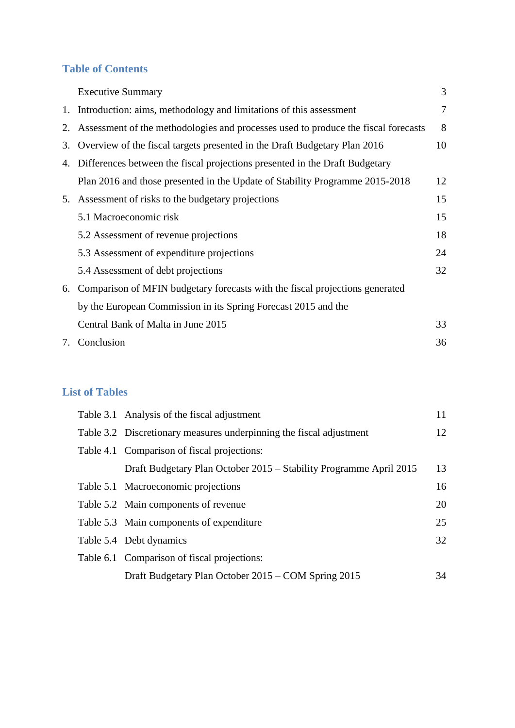# **Table of Contents**

|    | <b>Executive Summary</b>                                                           | 3  |
|----|------------------------------------------------------------------------------------|----|
|    | 1. Introduction: aims, methodology and limitations of this assessment              |    |
| 2. | Assessment of the methodologies and processes used to produce the fiscal forecasts | 8  |
| 3. | Overview of the fiscal targets presented in the Draft Budgetary Plan 2016          | 10 |
| 4. | Differences between the fiscal projections presented in the Draft Budgetary        |    |
|    | Plan 2016 and those presented in the Update of Stability Programme 2015-2018       | 12 |
| 5. | Assessment of risks to the budgetary projections                                   | 15 |
|    | 5.1 Macroeconomic risk                                                             | 15 |
|    | 5.2 Assessment of revenue projections                                              | 18 |
|    | 5.3 Assessment of expenditure projections                                          | 24 |
|    | 5.4 Assessment of debt projections                                                 | 32 |
| 6. | Comparison of MFIN budgetary forecasts with the fiscal projections generated       |    |
|    | by the European Commission in its Spring Forecast 2015 and the                     |    |
|    | Central Bank of Malta in June 2015                                                 | 33 |
|    | 7. Conclusion                                                                      | 36 |

## **List of Tables**

| Table 3.1 Analysis of the fiscal adjustment                         | 11 |
|---------------------------------------------------------------------|----|
| Table 3.2 Discretionary measures underpinning the fiscal adjustment | 12 |
| Table 4.1 Comparison of fiscal projections:                         |    |
| Draft Budgetary Plan October 2015 – Stability Programme April 2015  | 13 |
| Table 5.1 Macroeconomic projections                                 | 16 |
| Table 5.2 Main components of revenue                                | 20 |
| Table 5.3 Main components of expenditure                            | 25 |
| Table 5.4 Debt dynamics                                             | 32 |
| Table 6.1 Comparison of fiscal projections:                         |    |
| Draft Budgetary Plan October 2015 – COM Spring 2015                 | 34 |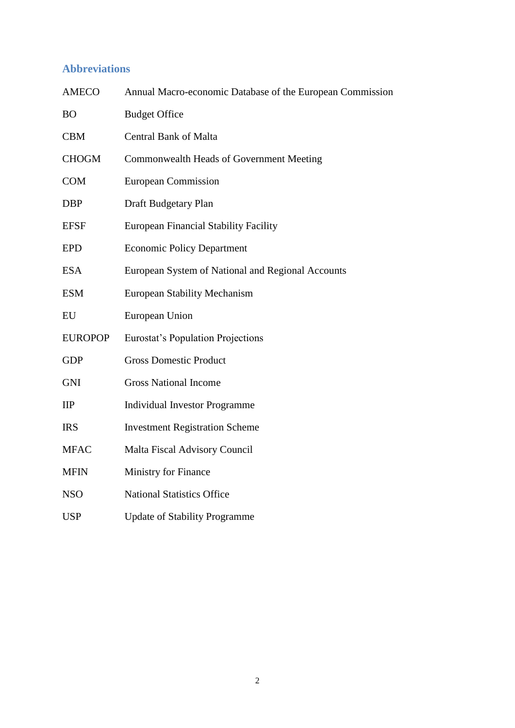# **Abbreviations**

| <b>AMECO</b>   | Annual Macro-economic Database of the European Commission |
|----------------|-----------------------------------------------------------|
| <b>BO</b>      | <b>Budget Office</b>                                      |
| <b>CBM</b>     | <b>Central Bank of Malta</b>                              |
| <b>CHOGM</b>   | Commonwealth Heads of Government Meeting                  |
| <b>COM</b>     | <b>European Commission</b>                                |
| <b>DBP</b>     | Draft Budgetary Plan                                      |
| <b>EFSF</b>    | <b>European Financial Stability Facility</b>              |
| <b>EPD</b>     | <b>Economic Policy Department</b>                         |
| <b>ESA</b>     | European System of National and Regional Accounts         |
| <b>ESM</b>     | <b>European Stability Mechanism</b>                       |
| EU             | European Union                                            |
| <b>EUROPOP</b> | <b>Eurostat's Population Projections</b>                  |
| <b>GDP</b>     | <b>Gross Domestic Product</b>                             |
| <b>GNI</b>     | <b>Gross National Income</b>                              |
| IIP            | <b>Individual Investor Programme</b>                      |
| <b>IRS</b>     | <b>Investment Registration Scheme</b>                     |
| <b>MFAC</b>    | <b>Malta Fiscal Advisory Council</b>                      |
| <b>MFIN</b>    | Ministry for Finance                                      |
| <b>NSO</b>     | <b>National Statistics Office</b>                         |
| <b>USP</b>     | <b>Update of Stability Programme</b>                      |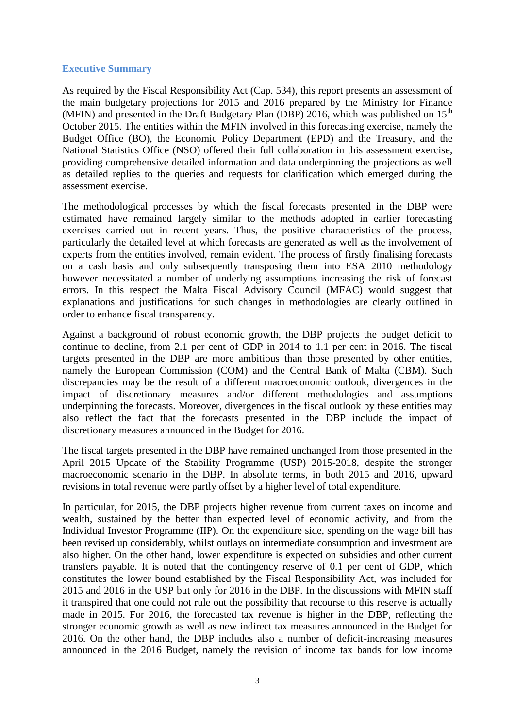#### **Executive Summary**

As required by the Fiscal Responsibility Act (Cap. 534), this report presents an assessment of the main budgetary projections for 2015 and 2016 prepared by the Ministry for Finance (MFIN) and presented in the Draft Budgetary Plan (DBP) 2016, which was published on  $15<sup>th</sup>$ October 2015. The entities within the MFIN involved in this forecasting exercise, namely the Budget Office (BO), the Economic Policy Department (EPD) and the Treasury, and the National Statistics Office (NSO) offered their full collaboration in this assessment exercise, providing comprehensive detailed information and data underpinning the projections as well as detailed replies to the queries and requests for clarification which emerged during the assessment exercise.

The methodological processes by which the fiscal forecasts presented in the DBP were estimated have remained largely similar to the methods adopted in earlier forecasting exercises carried out in recent years. Thus, the positive characteristics of the process, particularly the detailed level at which forecasts are generated as well as the involvement of experts from the entities involved, remain evident. The process of firstly finalising forecasts on a cash basis and only subsequently transposing them into ESA 2010 methodology however necessitated a number of underlying assumptions increasing the risk of forecast errors. In this respect the Malta Fiscal Advisory Council (MFAC) would suggest that explanations and justifications for such changes in methodologies are clearly outlined in order to enhance fiscal transparency.

Against a background of robust economic growth, the DBP projects the budget deficit to continue to decline, from 2.1 per cent of GDP in 2014 to 1.1 per cent in 2016. The fiscal targets presented in the DBP are more ambitious than those presented by other entities, namely the European Commission (COM) and the Central Bank of Malta (CBM). Such discrepancies may be the result of a different macroeconomic outlook, divergences in the impact of discretionary measures and/or different methodologies and assumptions underpinning the forecasts. Moreover, divergences in the fiscal outlook by these entities may also reflect the fact that the forecasts presented in the DBP include the impact of discretionary measures announced in the Budget for 2016.

The fiscal targets presented in the DBP have remained unchanged from those presented in the April 2015 Update of the Stability Programme (USP) 2015-2018, despite the stronger macroeconomic scenario in the DBP. In absolute terms, in both 2015 and 2016, upward revisions in total revenue were partly offset by a higher level of total expenditure.

In particular, for 2015, the DBP projects higher revenue from current taxes on income and wealth, sustained by the better than expected level of economic activity, and from the Individual Investor Programme (IIP). On the expenditure side, spending on the wage bill has been revised up considerably, whilst outlays on intermediate consumption and investment are also higher. On the other hand, lower expenditure is expected on subsidies and other current transfers payable. It is noted that the contingency reserve of 0.1 per cent of GDP, which constitutes the lower bound established by the Fiscal Responsibility Act, was included for 2015 and 2016 in the USP but only for 2016 in the DBP. In the discussions with MFIN staff it transpired that one could not rule out the possibility that recourse to this reserve is actually made in 2015. For 2016, the forecasted tax revenue is higher in the DBP, reflecting the stronger economic growth as well as new indirect tax measures announced in the Budget for 2016. On the other hand, the DBP includes also a number of deficit-increasing measures announced in the 2016 Budget, namely the revision of income tax bands for low income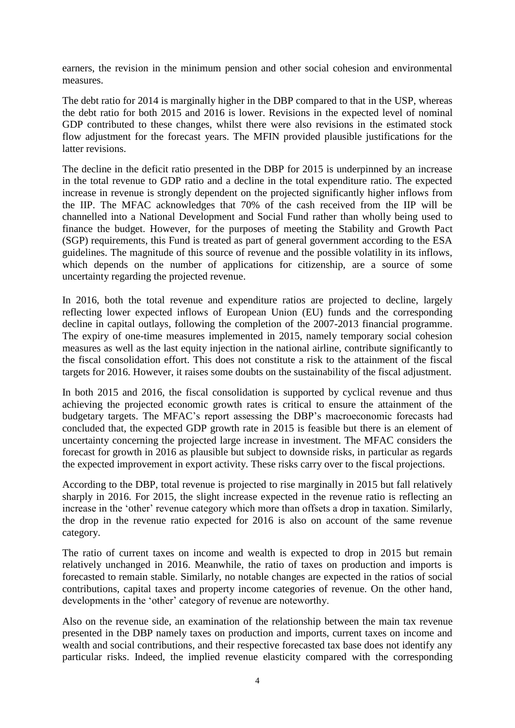earners, the revision in the minimum pension and other social cohesion and environmental measures.

The debt ratio for 2014 is marginally higher in the DBP compared to that in the USP, whereas the debt ratio for both 2015 and 2016 is lower. Revisions in the expected level of nominal GDP contributed to these changes, whilst there were also revisions in the estimated stock flow adjustment for the forecast years. The MFIN provided plausible justifications for the latter revisions.

The decline in the deficit ratio presented in the DBP for 2015 is underpinned by an increase in the total revenue to GDP ratio and a decline in the total expenditure ratio. The expected increase in revenue is strongly dependent on the projected significantly higher inflows from the IIP. The MFAC acknowledges that 70% of the cash received from the IIP will be channelled into a National Development and Social Fund rather than wholly being used to finance the budget. However, for the purposes of meeting the Stability and Growth Pact (SGP) requirements, this Fund is treated as part of general government according to the ESA guidelines. The magnitude of this source of revenue and the possible volatility in its inflows, which depends on the number of applications for citizenship, are a source of some uncertainty regarding the projected revenue.

In 2016, both the total revenue and expenditure ratios are projected to decline, largely reflecting lower expected inflows of European Union (EU) funds and the corresponding decline in capital outlays, following the completion of the 2007-2013 financial programme. The expiry of one-time measures implemented in 2015, namely temporary social cohesion measures as well as the last equity injection in the national airline, contribute significantly to the fiscal consolidation effort. This does not constitute a risk to the attainment of the fiscal targets for 2016. However, it raises some doubts on the sustainability of the fiscal adjustment.

In both 2015 and 2016, the fiscal consolidation is supported by cyclical revenue and thus achieving the projected economic growth rates is critical to ensure the attainment of the budgetary targets. The MFAC's report assessing the DBP's macroeconomic forecasts had concluded that, the expected GDP growth rate in 2015 is feasible but there is an element of uncertainty concerning the projected large increase in investment. The MFAC considers the forecast for growth in 2016 as plausible but subject to downside risks, in particular as regards the expected improvement in export activity. These risks carry over to the fiscal projections.

According to the DBP, total revenue is projected to rise marginally in 2015 but fall relatively sharply in 2016. For 2015, the slight increase expected in the revenue ratio is reflecting an increase in the 'other' revenue category which more than offsets a drop in taxation. Similarly, the drop in the revenue ratio expected for 2016 is also on account of the same revenue category.

The ratio of current taxes on income and wealth is expected to drop in 2015 but remain relatively unchanged in 2016. Meanwhile, the ratio of taxes on production and imports is forecasted to remain stable. Similarly, no notable changes are expected in the ratios of social contributions, capital taxes and property income categories of revenue. On the other hand, developments in the 'other' category of revenue are noteworthy.

Also on the revenue side, an examination of the relationship between the main tax revenue presented in the DBP namely taxes on production and imports, current taxes on income and wealth and social contributions, and their respective forecasted tax base does not identify any particular risks. Indeed, the implied revenue elasticity compared with the corresponding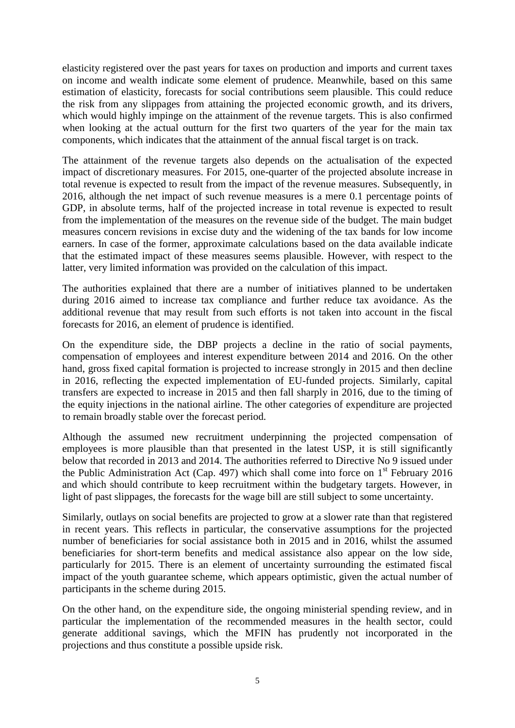elasticity registered over the past years for taxes on production and imports and current taxes on income and wealth indicate some element of prudence. Meanwhile, based on this same estimation of elasticity, forecasts for social contributions seem plausible. This could reduce the risk from any slippages from attaining the projected economic growth, and its drivers, which would highly impinge on the attainment of the revenue targets. This is also confirmed when looking at the actual outturn for the first two quarters of the year for the main tax components, which indicates that the attainment of the annual fiscal target is on track.

The attainment of the revenue targets also depends on the actualisation of the expected impact of discretionary measures. For 2015, one-quarter of the projected absolute increase in total revenue is expected to result from the impact of the revenue measures. Subsequently, in 2016, although the net impact of such revenue measures is a mere 0.1 percentage points of GDP, in absolute terms, half of the projected increase in total revenue is expected to result from the implementation of the measures on the revenue side of the budget. The main budget measures concern revisions in excise duty and the widening of the tax bands for low income earners. In case of the former, approximate calculations based on the data available indicate that the estimated impact of these measures seems plausible. However, with respect to the latter, very limited information was provided on the calculation of this impact.

The authorities explained that there are a number of initiatives planned to be undertaken during 2016 aimed to increase tax compliance and further reduce tax avoidance. As the additional revenue that may result from such efforts is not taken into account in the fiscal forecasts for 2016, an element of prudence is identified.

On the expenditure side, the DBP projects a decline in the ratio of social payments, compensation of employees and interest expenditure between 2014 and 2016. On the other hand, gross fixed capital formation is projected to increase strongly in 2015 and then decline in 2016, reflecting the expected implementation of EU-funded projects. Similarly, capital transfers are expected to increase in 2015 and then fall sharply in 2016, due to the timing of the equity injections in the national airline. The other categories of expenditure are projected to remain broadly stable over the forecast period.

Although the assumed new recruitment underpinning the projected compensation of employees is more plausible than that presented in the latest USP, it is still significantly below that recorded in 2013 and 2014. The authorities referred to Directive No 9 issued under the Public Administration Act (Cap. 497) which shall come into force on  $1<sup>st</sup>$  February 2016 and which should contribute to keep recruitment within the budgetary targets. However, in light of past slippages, the forecasts for the wage bill are still subject to some uncertainty.

Similarly, outlays on social benefits are projected to grow at a slower rate than that registered in recent years. This reflects in particular, the conservative assumptions for the projected number of beneficiaries for social assistance both in 2015 and in 2016, whilst the assumed beneficiaries for short-term benefits and medical assistance also appear on the low side, particularly for 2015. There is an element of uncertainty surrounding the estimated fiscal impact of the youth guarantee scheme, which appears optimistic, given the actual number of participants in the scheme during 2015.

On the other hand, on the expenditure side, the ongoing ministerial spending review, and in particular the implementation of the recommended measures in the health sector, could generate additional savings, which the MFIN has prudently not incorporated in the projections and thus constitute a possible upside risk.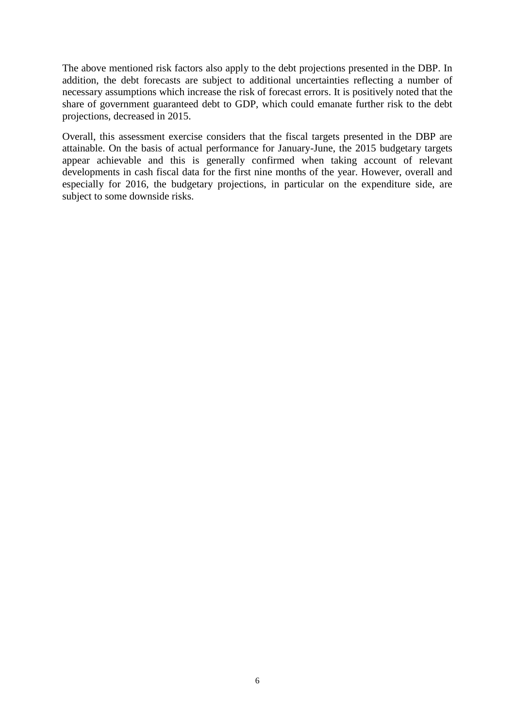The above mentioned risk factors also apply to the debt projections presented in the DBP. In addition, the debt forecasts are subject to additional uncertainties reflecting a number of necessary assumptions which increase the risk of forecast errors. It is positively noted that the share of government guaranteed debt to GDP, which could emanate further risk to the debt projections, decreased in 2015.

Overall, this assessment exercise considers that the fiscal targets presented in the DBP are attainable. On the basis of actual performance for January-June, the 2015 budgetary targets appear achievable and this is generally confirmed when taking account of relevant developments in cash fiscal data for the first nine months of the year. However, overall and especially for 2016, the budgetary projections, in particular on the expenditure side, are subject to some downside risks.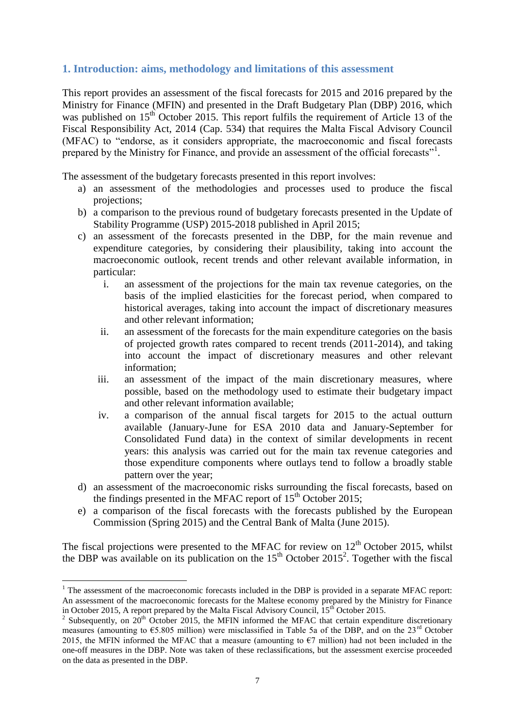## **1. Introduction: aims, methodology and limitations of this assessment**

This report provides an assessment of the fiscal forecasts for 2015 and 2016 prepared by the Ministry for Finance (MFIN) and presented in the Draft Budgetary Plan (DBP) 2016, which was published on  $15<sup>th</sup>$  October 2015. This report fulfils the requirement of Article 13 of the Fiscal Responsibility Act, 2014 (Cap. 534) that requires the Malta Fiscal Advisory Council (MFAC) to "endorse, as it considers appropriate, the macroeconomic and fiscal forecasts prepared by the Ministry for Finance, and provide an assessment of the official forecasts"<sup>1</sup>.

The assessment of the budgetary forecasts presented in this report involves:

- a) an assessment of the methodologies and processes used to produce the fiscal projections;
- b) a comparison to the previous round of budgetary forecasts presented in the Update of Stability Programme (USP) 2015-2018 published in April 2015;
- c) an assessment of the forecasts presented in the DBP, for the main revenue and expenditure categories, by considering their plausibility, taking into account the macroeconomic outlook, recent trends and other relevant available information, in particular:
	- i. an assessment of the projections for the main tax revenue categories, on the basis of the implied elasticities for the forecast period, when compared to historical averages, taking into account the impact of discretionary measures and other relevant information;
	- ii. an assessment of the forecasts for the main expenditure categories on the basis of projected growth rates compared to recent trends (2011-2014), and taking into account the impact of discretionary measures and other relevant information;
	- iii. an assessment of the impact of the main discretionary measures, where possible, based on the methodology used to estimate their budgetary impact and other relevant information available;
	- iv. a comparison of the annual fiscal targets for 2015 to the actual outturn available (January-June for ESA 2010 data and January-September for Consolidated Fund data) in the context of similar developments in recent years: this analysis was carried out for the main tax revenue categories and those expenditure components where outlays tend to follow a broadly stable pattern over the year;
- d) an assessment of the macroeconomic risks surrounding the fiscal forecasts, based on the findings presented in the MFAC report of  $15<sup>th</sup>$  October 2015;
- e) a comparison of the fiscal forecasts with the forecasts published by the European Commission (Spring 2015) and the Central Bank of Malta (June 2015).

The fiscal projections were presented to the MFAC for review on  $12<sup>th</sup>$  October 2015, whilst the DBP was available on its publication on the  $15<sup>th</sup>$  October 2015<sup>2</sup>. Together with the fiscal

**.** 

<sup>&</sup>lt;sup>1</sup> The assessment of the macroeconomic forecasts included in the DBP is provided in a separate MFAC report: An assessment of the macroeconomic forecasts for the Maltese economy prepared by the Ministry for Finance in October 2015, A report prepared by the Malta Fiscal Advisory Council, 15<sup>th</sup> October 2015.

<sup>&</sup>lt;sup>2</sup> Subsequently, on  $20^{th}$  October 2015, the MFIN informed the MFAC that certain expenditure discretionary measures (amounting to €5.805 million) were misclassified in Table 5a of the DBP, and on the 23rd October 2015, the MFIN informed the MFAC that a measure (amounting to  $\epsilon$ 7 million) had not been included in the one-off measures in the DBP. Note was taken of these reclassifications, but the assessment exercise proceeded on the data as presented in the DBP.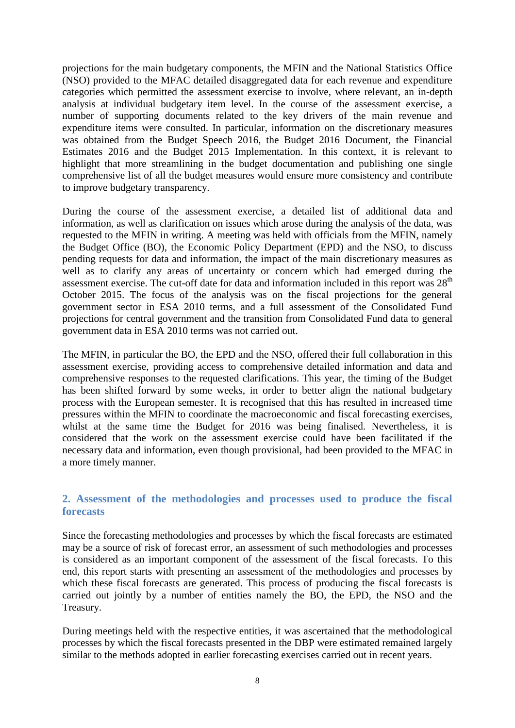projections for the main budgetary components, the MFIN and the National Statistics Office (NSO) provided to the MFAC detailed disaggregated data for each revenue and expenditure categories which permitted the assessment exercise to involve, where relevant, an in-depth analysis at individual budgetary item level. In the course of the assessment exercise, a number of supporting documents related to the key drivers of the main revenue and expenditure items were consulted. In particular, information on the discretionary measures was obtained from the Budget Speech 2016, the Budget 2016 Document, the Financial Estimates 2016 and the Budget 2015 Implementation. In this context, it is relevant to highlight that more streamlining in the budget documentation and publishing one single comprehensive list of all the budget measures would ensure more consistency and contribute to improve budgetary transparency.

During the course of the assessment exercise, a detailed list of additional data and information, as well as clarification on issues which arose during the analysis of the data, was requested to the MFIN in writing. A meeting was held with officials from the MFIN, namely the Budget Office (BO), the Economic Policy Department (EPD) and the NSO, to discuss pending requests for data and information, the impact of the main discretionary measures as well as to clarify any areas of uncertainty or concern which had emerged during the assessment exercise. The cut-off date for data and information included in this report was  $28<sup>th</sup>$ October 2015. The focus of the analysis was on the fiscal projections for the general government sector in ESA 2010 terms, and a full assessment of the Consolidated Fund projections for central government and the transition from Consolidated Fund data to general government data in ESA 2010 terms was not carried out.

The MFIN, in particular the BO, the EPD and the NSO, offered their full collaboration in this assessment exercise, providing access to comprehensive detailed information and data and comprehensive responses to the requested clarifications. This year, the timing of the Budget has been shifted forward by some weeks, in order to better align the national budgetary process with the European semester. It is recognised that this has resulted in increased time pressures within the MFIN to coordinate the macroeconomic and fiscal forecasting exercises, whilst at the same time the Budget for 2016 was being finalised. Nevertheless, it is considered that the work on the assessment exercise could have been facilitated if the necessary data and information, even though provisional, had been provided to the MFAC in a more timely manner.

## **2. Assessment of the methodologies and processes used to produce the fiscal forecasts**

Since the forecasting methodologies and processes by which the fiscal forecasts are estimated may be a source of risk of forecast error, an assessment of such methodologies and processes is considered as an important component of the assessment of the fiscal forecasts. To this end, this report starts with presenting an assessment of the methodologies and processes by which these fiscal forecasts are generated. This process of producing the fiscal forecasts is carried out jointly by a number of entities namely the BO, the EPD, the NSO and the Treasury.

During meetings held with the respective entities, it was ascertained that the methodological processes by which the fiscal forecasts presented in the DBP were estimated remained largely similar to the methods adopted in earlier forecasting exercises carried out in recent years.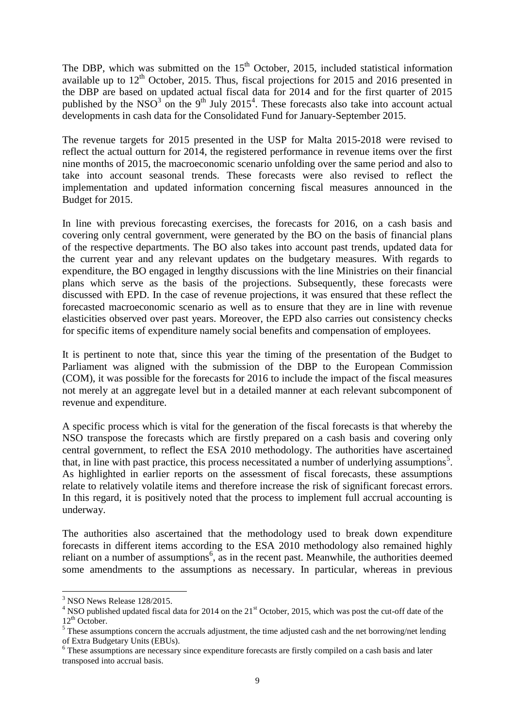The DBP, which was submitted on the  $15<sup>th</sup>$  October, 2015, included statistical information available up to  $12<sup>th</sup>$  October, 2015. Thus, fiscal projections for 2015 and 2016 presented in the DBP are based on updated actual fiscal data for 2014 and for the first quarter of 2015 published by the NSO<sup>3</sup> on the 9<sup>th</sup> July 2015<sup>4</sup>. These forecasts also take into account actual developments in cash data for the Consolidated Fund for January-September 2015.

The revenue targets for 2015 presented in the USP for Malta 2015-2018 were revised to reflect the actual outturn for 2014, the registered performance in revenue items over the first nine months of 2015, the macroeconomic scenario unfolding over the same period and also to take into account seasonal trends. These forecasts were also revised to reflect the implementation and updated information concerning fiscal measures announced in the Budget for 2015.

In line with previous forecasting exercises, the forecasts for 2016, on a cash basis and covering only central government, were generated by the BO on the basis of financial plans of the respective departments. The BO also takes into account past trends, updated data for the current year and any relevant updates on the budgetary measures. With regards to expenditure, the BO engaged in lengthy discussions with the line Ministries on their financial plans which serve as the basis of the projections. Subsequently, these forecasts were discussed with EPD. In the case of revenue projections, it was ensured that these reflect the forecasted macroeconomic scenario as well as to ensure that they are in line with revenue elasticities observed over past years. Moreover, the EPD also carries out consistency checks for specific items of expenditure namely social benefits and compensation of employees.

It is pertinent to note that, since this year the timing of the presentation of the Budget to Parliament was aligned with the submission of the DBP to the European Commission (COM), it was possible for the forecasts for 2016 to include the impact of the fiscal measures not merely at an aggregate level but in a detailed manner at each relevant subcomponent of revenue and expenditure.

A specific process which is vital for the generation of the fiscal forecasts is that whereby the NSO transpose the forecasts which are firstly prepared on a cash basis and covering only central government, to reflect the ESA 2010 methodology. The authorities have ascertained that, in line with past practice, this process necessitated a number of underlying assumptions<sup>5</sup>. As highlighted in earlier reports on the assessment of fiscal forecasts, these assumptions relate to relatively volatile items and therefore increase the risk of significant forecast errors. In this regard, it is positively noted that the process to implement full accrual accounting is underway.

The authorities also ascertained that the methodology used to break down expenditure forecasts in different items according to the ESA 2010 methodology also remained highly reliant on a number of assumptions<sup>6</sup>, as in the recent past. Meanwhile, the authorities deemed some amendments to the assumptions as necessary. In particular, whereas in previous

**.** 

<sup>3</sup> NSO News Release 128/2015.

<sup>&</sup>lt;sup>4</sup> NSO published updated fiscal data for 2014 on the 21<sup>st</sup> October, 2015, which was post the cut-off date of the  $12^{th}$  October.

<sup>&</sup>lt;sup>5</sup> These assumptions concern the accruals adjustment, the time adjusted cash and the net borrowing/net lending of Extra Budgetary Units (EBUs).

<sup>&</sup>lt;sup>6</sup> These assumptions are necessary since expenditure forecasts are firstly compiled on a cash basis and later transposed into accrual basis.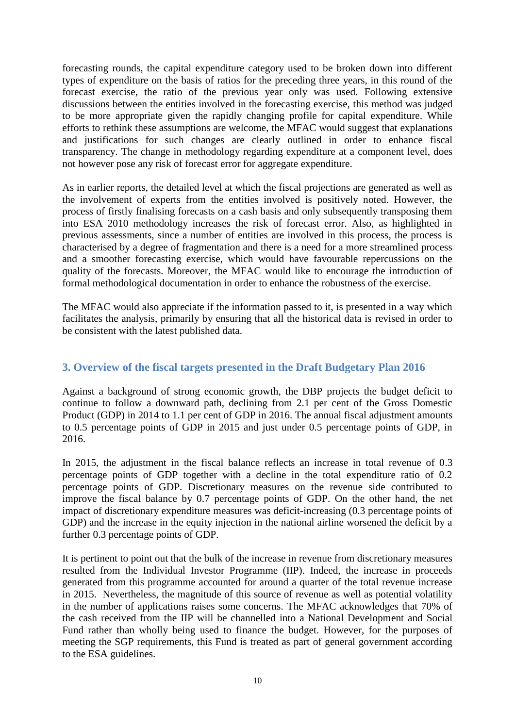forecasting rounds, the capital expenditure category used to be broken down into different types of expenditure on the basis of ratios for the preceding three years, in this round of the forecast exercise, the ratio of the previous year only was used. Following extensive discussions between the entities involved in the forecasting exercise, this method was judged to be more appropriate given the rapidly changing profile for capital expenditure. While efforts to rethink these assumptions are welcome, the MFAC would suggest that explanations and justifications for such changes are clearly outlined in order to enhance fiscal transparency. The change in methodology regarding expenditure at a component level, does not however pose any risk of forecast error for aggregate expenditure.

As in earlier reports, the detailed level at which the fiscal projections are generated as well as the involvement of experts from the entities involved is positively noted. However, the process of firstly finalising forecasts on a cash basis and only subsequently transposing them into ESA 2010 methodology increases the risk of forecast error. Also, as highlighted in previous assessments, since a number of entities are involved in this process, the process is characterised by a degree of fragmentation and there is a need for a more streamlined process and a smoother forecasting exercise, which would have favourable repercussions on the quality of the forecasts. Moreover, the MFAC would like to encourage the introduction of formal methodological documentation in order to enhance the robustness of the exercise.

The MFAC would also appreciate if the information passed to it, is presented in a way which facilitates the analysis, primarily by ensuring that all the historical data is revised in order to be consistent with the latest published data.

## **3. Overview of the fiscal targets presented in the Draft Budgetary Plan 2016**

Against a background of strong economic growth, the DBP projects the budget deficit to continue to follow a downward path, declining from 2.1 per cent of the Gross Domestic Product (GDP) in 2014 to 1.1 per cent of GDP in 2016. The annual fiscal adjustment amounts to 0.5 percentage points of GDP in 2015 and just under 0.5 percentage points of GDP, in 2016.

In 2015, the adjustment in the fiscal balance reflects an increase in total revenue of 0.3 percentage points of GDP together with a decline in the total expenditure ratio of 0.2 percentage points of GDP. Discretionary measures on the revenue side contributed to improve the fiscal balance by 0.7 percentage points of GDP. On the other hand, the net impact of discretionary expenditure measures was deficit-increasing (0.3 percentage points of GDP) and the increase in the equity injection in the national airline worsened the deficit by a further 0.3 percentage points of GDP.

It is pertinent to point out that the bulk of the increase in revenue from discretionary measures resulted from the Individual Investor Programme (IIP). Indeed, the increase in proceeds generated from this programme accounted for around a quarter of the total revenue increase in 2015. Nevertheless, the magnitude of this source of revenue as well as potential volatility in the number of applications raises some concerns. The MFAC acknowledges that 70% of the cash received from the IIP will be channelled into a National Development and Social Fund rather than wholly being used to finance the budget. However, for the purposes of meeting the SGP requirements, this Fund is treated as part of general government according to the ESA guidelines.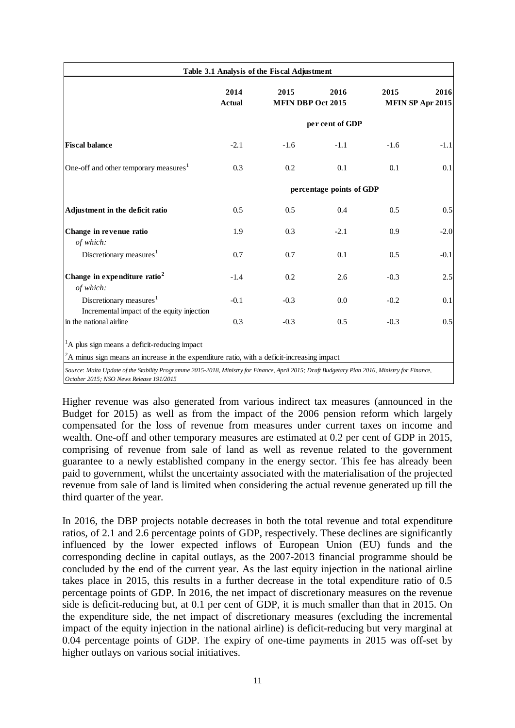| 2016<br><b>MFIN DBP Oct 2015</b> | 2015                                                                                            | 2016                                                                                                                                                               |
|----------------------------------|-------------------------------------------------------------------------------------------------|--------------------------------------------------------------------------------------------------------------------------------------------------------------------|
|                                  |                                                                                                 | MFIN SP Apr 2015                                                                                                                                                   |
| per cent of GDP                  |                                                                                                 |                                                                                                                                                                    |
| $-1.1$                           | $-1.6$                                                                                          | $-1.1$                                                                                                                                                             |
| 0.1                              | 0.1                                                                                             | 0.1                                                                                                                                                                |
| percentage points of GDP         |                                                                                                 |                                                                                                                                                                    |
| 0.4                              | 0.5                                                                                             | 0.5                                                                                                                                                                |
| $-2.1$                           | 0.9                                                                                             | $-2.0$                                                                                                                                                             |
| 0.1                              | 0.5                                                                                             | $-0.1$                                                                                                                                                             |
|                                  | $-0.3$                                                                                          | 2.5                                                                                                                                                                |
|                                  | $-0.2$                                                                                          | 0.1                                                                                                                                                                |
|                                  | $-0.3$                                                                                          | 0.5                                                                                                                                                                |
|                                  |                                                                                                 |                                                                                                                                                                    |
| 0.7<br>0.2<br>$-0.3$<br>$-0.3$   | $A^2$ A minus sign means an increase in the expenditure ratio, with a deficit-increasing impact | 2.6<br>0.0<br>0.5<br>Source: Malta Update of the Stability Programme 2015-2018, Ministry for Finance, April 2015; Draft Budgetary Plan 2016, Ministry for Finance, |

Higher revenue was also generated from various indirect tax measures (announced in the Budget for 2015) as well as from the impact of the 2006 pension reform which largely compensated for the loss of revenue from measures under current taxes on income and wealth. One-off and other temporary measures are estimated at 0.2 per cent of GDP in 2015, comprising of revenue from sale of land as well as revenue related to the government guarantee to a newly established company in the energy sector. This fee has already been paid to government, whilst the uncertainty associated with the materialisation of the projected revenue from sale of land is limited when considering the actual revenue generated up till the third quarter of the year.

In 2016, the DBP projects notable decreases in both the total revenue and total expenditure ratios, of 2.1 and 2.6 percentage points of GDP, respectively. These declines are significantly influenced by the lower expected inflows of European Union (EU) funds and the corresponding decline in capital outlays, as the 2007-2013 financial programme should be concluded by the end of the current year. As the last equity injection in the national airline takes place in 2015, this results in a further decrease in the total expenditure ratio of 0.5 percentage points of GDP. In 2016, the net impact of discretionary measures on the revenue side is deficit-reducing but, at 0.1 per cent of GDP, it is much smaller than that in 2015. On the expenditure side, the net impact of discretionary measures (excluding the incremental impact of the equity injection in the national airline) is deficit-reducing but very marginal at 0.04 percentage points of GDP. The expiry of one-time payments in 2015 was off-set by higher outlays on various social initiatives.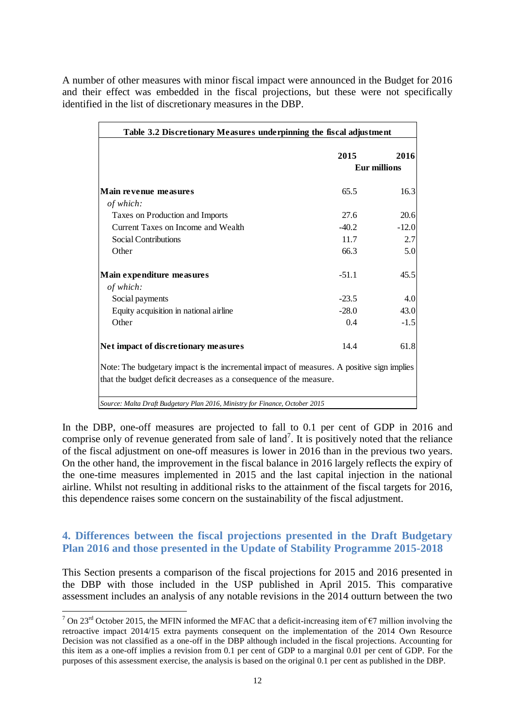A number of other measures with minor fiscal impact were announced in the Budget for 2016 and their effect was embedded in the fiscal projections, but these were not specifically identified in the list of discretionary measures in the DBP.

| Table 3.2 Discretionary Measures underpinning the fiscal adjustment                       |         |                             |  |  |
|-------------------------------------------------------------------------------------------|---------|-----------------------------|--|--|
|                                                                                           | 2015    | 2016<br><b>Eur millions</b> |  |  |
|                                                                                           |         |                             |  |  |
| Main revenue measures                                                                     | 65.5    | 16.3                        |  |  |
| of which:                                                                                 |         |                             |  |  |
| Taxes on Production and Imports                                                           | 27.6    | 20.6                        |  |  |
| Current Taxes on Income and Wealth                                                        | $-40.2$ | $-12.0$                     |  |  |
| Social Contributions                                                                      | 11.7    | 2.7                         |  |  |
| Other                                                                                     | 66.3    | 5.0                         |  |  |
| Main expenditure measures                                                                 | $-51.1$ | 45.5                        |  |  |
| of which:                                                                                 |         |                             |  |  |
| Social payments                                                                           | $-23.5$ | 4.0                         |  |  |
| Equity acquisition in national airline                                                    | $-28.0$ | 43.0                        |  |  |
| Other                                                                                     | 0.4     | $-1.5$                      |  |  |
| Net impact of discretionary measures                                                      | 14.4    | 61.8                        |  |  |
| Note: The budgetary impact is the incremental impact of measures. A positive sign implies |         |                             |  |  |
| that the budget deficit decreases as a consequence of the measure.                        |         |                             |  |  |
| Source: Malta Draft Budgetary Plan 2016, Ministry for Finance, October 2015               |         |                             |  |  |

In the DBP, one-off measures are projected to fall to 0.1 per cent of GDP in 2016 and comprise only of revenue generated from sale of  $land^7$ . It is positively noted that the reliance of the fiscal adjustment on one-off measures is lower in 2016 than in the previous two years. On the other hand, the improvement in the fiscal balance in 2016 largely reflects the expiry of the one-time measures implemented in 2015 and the last capital injection in the national airline. Whilst not resulting in additional risks to the attainment of the fiscal targets for 2016, this dependence raises some concern on the sustainability of the fiscal adjustment.

## **4. Differences between the fiscal projections presented in the Draft Budgetary Plan 2016 and those presented in the Update of Stability Programme 2015-2018**

This Section presents a comparison of the fiscal projections for 2015 and 2016 presented in the DBP with those included in the USP published in April 2015. This comparative assessment includes an analysis of any notable revisions in the 2014 outturn between the two

**.** 

<sup>&</sup>lt;sup>7</sup> On 23<sup>rd</sup> October 2015, the MFIN informed the MFAC that a deficit-increasing item of  $\epsilon$ 7 million involving the retroactive impact 2014/15 extra payments consequent on the implementation of the 2014 Own Resource Decision was not classified as a one-off in the DBP although included in the fiscal projections. Accounting for this item as a one-off implies a revision from 0.1 per cent of GDP to a marginal 0.01 per cent of GDP. For the purposes of this assessment exercise, the analysis is based on the original 0.1 per cent as published in the DBP.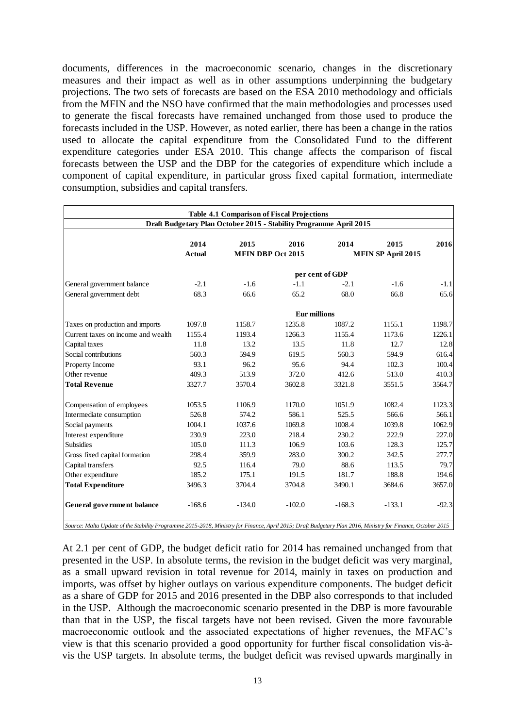documents, differences in the macroeconomic scenario, changes in the discretionary measures and their impact as well as in other assumptions underpinning the budgetary projections. The two sets of forecasts are based on the ESA 2010 methodology and officials from the MFIN and the NSO have confirmed that the main methodologies and processes used to generate the fiscal forecasts have remained unchanged from those used to produce the forecasts included in the USP. However, as noted earlier, there has been a change in the ratios used to allocate the capital expenditure from the Consolidated Fund to the different expenditure categories under ESA 2010. This change affects the comparison of fiscal forecasts between the USP and the DBP for the categories of expenditure which include a component of capital expenditure, in particular gross fixed capital formation, intermediate consumption, subsidies and capital transfers.

|                                    |                                                                    | <b>Table 4.1 Comparison of Fiscal Projections</b> |                     |                 |                           |         |  |  |  |
|------------------------------------|--------------------------------------------------------------------|---------------------------------------------------|---------------------|-----------------|---------------------------|---------|--|--|--|
|                                    | Draft Budgetary Plan October 2015 - Stability Programme April 2015 |                                                   |                     |                 |                           |         |  |  |  |
|                                    | 2014                                                               | 2015                                              | 2016                | 2014            | 2015                      | 2016    |  |  |  |
|                                    | <b>Actual</b>                                                      | <b>MFIN DBP Oct 2015</b>                          |                     |                 | <b>MFIN SP April 2015</b> |         |  |  |  |
|                                    |                                                                    |                                                   |                     | per cent of GDP |                           |         |  |  |  |
| General government balance         | $-2.1$                                                             | $-1.6$                                            | $-1.1$              | $-2.1$          | $-1.6$                    | $-1.1$  |  |  |  |
| General government debt            | 68.3                                                               | 66.6                                              | 65.2                | 68.0            | 66.8                      | 65.6    |  |  |  |
|                                    |                                                                    |                                                   | <b>Eur millions</b> |                 |                           |         |  |  |  |
| Taxes on production and imports    | 1097.8                                                             | 1158.7                                            | 1235.8              | 1087.2          | 1155.1                    | 1198.7  |  |  |  |
| Current taxes on income and wealth | 1155.4                                                             | 1193.4                                            | 1266.3              | 1155.4          | 1173.6                    | 1226.1  |  |  |  |
| Capital taxes                      | 11.8                                                               | 13.2                                              | 13.5                | 11.8            | 12.7                      | 12.8    |  |  |  |
| Social contributions               | 560.3                                                              | 594.9                                             | 619.5               | 560.3           | 594.9                     | 616.4   |  |  |  |
| Property Income                    | 93.1                                                               | 96.2                                              | 95.6                | 94.4            | 102.3                     | 100.4   |  |  |  |
| Other revenue                      | 409.3                                                              | 513.9                                             | 372.0               | 412.6           | 513.0                     | 410.3   |  |  |  |
| <b>Total Revenue</b>               | 3327.7                                                             | 3570.4                                            | 3602.8              | 3321.8          | 3551.5                    | 3564.7  |  |  |  |
| Compensation of employees          | 1053.5                                                             | 1106.9                                            | 1170.0              | 1051.9          | 1082.4                    | 1123.3  |  |  |  |
| Intermediate consumption           | 526.8                                                              | 574.2                                             | 586.1               | 525.5           | 566.6                     | 566.1   |  |  |  |
| Social payments                    | 1004.1                                                             | 1037.6                                            | 1069.8              | 1008.4          | 1039.8                    | 1062.9  |  |  |  |
| Interest expenditure               | 230.9                                                              | 223.0                                             | 218.4               | 230.2           | 222.9                     | 227.0   |  |  |  |
| <b>Subsidies</b>                   | 105.0                                                              | 111.3                                             | 106.9               | 103.6           | 128.3                     | 125.7   |  |  |  |
| Gross fixed capital formation      | 298.4                                                              | 359.9                                             | 283.0               | 300.2           | 342.5                     | 277.7   |  |  |  |
| Capital transfers                  | 92.5                                                               | 116.4                                             | 79.0                | 88.6            | 113.5                     | 79.7    |  |  |  |
| Other expenditure                  | 185.2                                                              | 175.1                                             | 191.5               | 181.7           | 188.8                     | 194.6   |  |  |  |
| <b>Total Expenditure</b>           | 3496.3                                                             | 3704.4                                            | 3704.8              | 3490.1          | 3684.6                    | 3657.0  |  |  |  |
| <b>General government balance</b>  | $-168.6$                                                           | $-134.0$                                          | $-102.0$            | $-168.3$        | $-133.1$                  | $-92.3$ |  |  |  |

*Source: Malta Update of the Stability Programme 2015-2018, Ministry for Finance, April 2015; Draft Budgetary Plan 2016, Ministry for Finance, October 2015*

At 2.1 per cent of GDP, the budget deficit ratio for 2014 has remained unchanged from that presented in the USP. In absolute terms, the revision in the budget deficit was very marginal, as a small upward revision in total revenue for 2014, mainly in taxes on production and imports, was offset by higher outlays on various expenditure components. The budget deficit as a share of GDP for 2015 and 2016 presented in the DBP also corresponds to that included in the USP. Although the macroeconomic scenario presented in the DBP is more favourable than that in the USP, the fiscal targets have not been revised. Given the more favourable macroeconomic outlook and the associated expectations of higher revenues, the MFAC's view is that this scenario provided a good opportunity for further fiscal consolidation vis-àvis the USP targets. In absolute terms, the budget deficit was revised upwards marginally in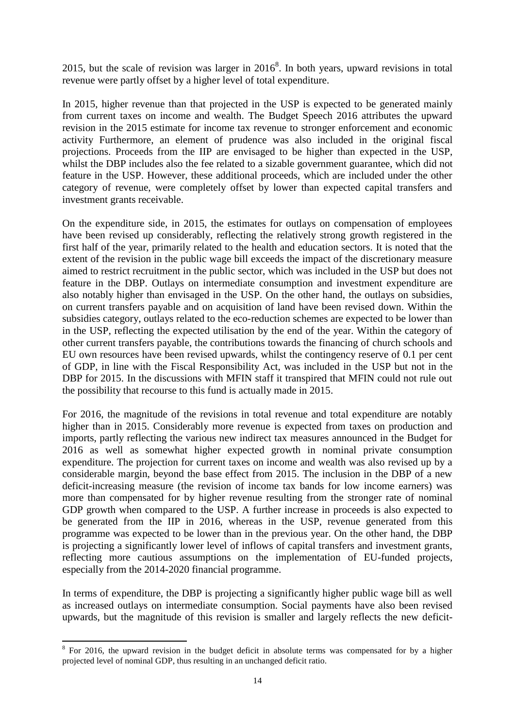2015, but the scale of revision was larger in  $2016<sup>8</sup>$ . In both years, upward revisions in total revenue were partly offset by a higher level of total expenditure.

In 2015, higher revenue than that projected in the USP is expected to be generated mainly from current taxes on income and wealth. The Budget Speech 2016 attributes the upward revision in the 2015 estimate for income tax revenue to stronger enforcement and economic activity Furthermore, an element of prudence was also included in the original fiscal projections. Proceeds from the IIP are envisaged to be higher than expected in the USP, whilst the DBP includes also the fee related to a sizable government guarantee, which did not feature in the USP. However, these additional proceeds, which are included under the other category of revenue, were completely offset by lower than expected capital transfers and investment grants receivable.

On the expenditure side, in 2015, the estimates for outlays on compensation of employees have been revised up considerably, reflecting the relatively strong growth registered in the first half of the year, primarily related to the health and education sectors. It is noted that the extent of the revision in the public wage bill exceeds the impact of the discretionary measure aimed to restrict recruitment in the public sector, which was included in the USP but does not feature in the DBP. Outlays on intermediate consumption and investment expenditure are also notably higher than envisaged in the USP. On the other hand, the outlays on subsidies, on current transfers payable and on acquisition of land have been revised down. Within the subsidies category, outlays related to the eco-reduction schemes are expected to be lower than in the USP, reflecting the expected utilisation by the end of the year. Within the category of other current transfers payable, the contributions towards the financing of church schools and EU own resources have been revised upwards, whilst the contingency reserve of 0.1 per cent of GDP, in line with the Fiscal Responsibility Act, was included in the USP but not in the DBP for 2015. In the discussions with MFIN staff it transpired that MFIN could not rule out the possibility that recourse to this fund is actually made in 2015.

For 2016, the magnitude of the revisions in total revenue and total expenditure are notably higher than in 2015. Considerably more revenue is expected from taxes on production and imports, partly reflecting the various new indirect tax measures announced in the Budget for 2016 as well as somewhat higher expected growth in nominal private consumption expenditure. The projection for current taxes on income and wealth was also revised up by a considerable margin, beyond the base effect from 2015. The inclusion in the DBP of a new deficit-increasing measure (the revision of income tax bands for low income earners) was more than compensated for by higher revenue resulting from the stronger rate of nominal GDP growth when compared to the USP. A further increase in proceeds is also expected to be generated from the IIP in 2016, whereas in the USP, revenue generated from this programme was expected to be lower than in the previous year. On the other hand, the DBP is projecting a significantly lower level of inflows of capital transfers and investment grants, reflecting more cautious assumptions on the implementation of EU-funded projects, especially from the 2014-2020 financial programme.

In terms of expenditure, the DBP is projecting a significantly higher public wage bill as well as increased outlays on intermediate consumption. Social payments have also been revised upwards, but the magnitude of this revision is smaller and largely reflects the new deficit-

<sup>&</sup>lt;sup>8</sup> For 2016, the upward revision in the budget deficit in absolute terms was compensated for by a higher projected level of nominal GDP, thus resulting in an unchanged deficit ratio.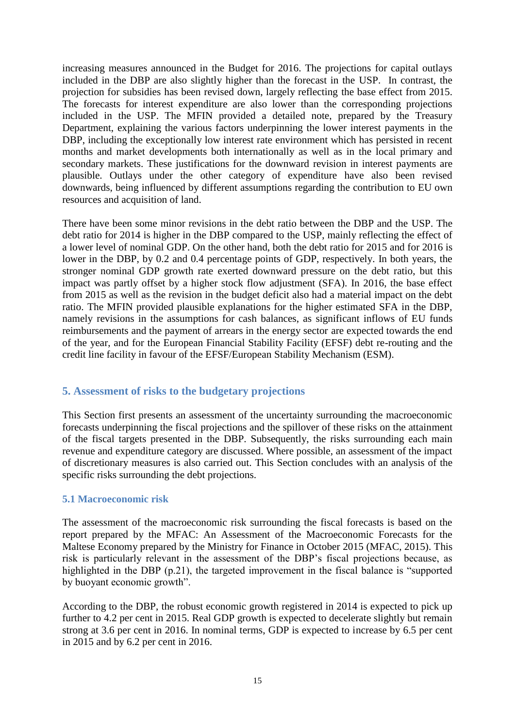increasing measures announced in the Budget for 2016. The projections for capital outlays included in the DBP are also slightly higher than the forecast in the USP. In contrast, the projection for subsidies has been revised down, largely reflecting the base effect from 2015. The forecasts for interest expenditure are also lower than the corresponding projections included in the USP. The MFIN provided a detailed note, prepared by the Treasury Department, explaining the various factors underpinning the lower interest payments in the DBP, including the exceptionally low interest rate environment which has persisted in recent months and market developments both internationally as well as in the local primary and secondary markets. These justifications for the downward revision in interest payments are plausible. Outlays under the other category of expenditure have also been revised downwards, being influenced by different assumptions regarding the contribution to EU own resources and acquisition of land.

There have been some minor revisions in the debt ratio between the DBP and the USP. The debt ratio for 2014 is higher in the DBP compared to the USP, mainly reflecting the effect of a lower level of nominal GDP. On the other hand, both the debt ratio for 2015 and for 2016 is lower in the DBP, by 0.2 and 0.4 percentage points of GDP, respectively. In both years, the stronger nominal GDP growth rate exerted downward pressure on the debt ratio, but this impact was partly offset by a higher stock flow adjustment (SFA). In 2016, the base effect from 2015 as well as the revision in the budget deficit also had a material impact on the debt ratio. The MFIN provided plausible explanations for the higher estimated SFA in the DBP, namely revisions in the assumptions for cash balances, as significant inflows of EU funds reimbursements and the payment of arrears in the energy sector are expected towards the end of the year, and for the European Financial Stability Facility (EFSF) debt re-routing and the credit line facility in favour of the EFSF/European Stability Mechanism (ESM).

## **5. Assessment of risks to the budgetary projections**

This Section first presents an assessment of the uncertainty surrounding the macroeconomic forecasts underpinning the fiscal projections and the spillover of these risks on the attainment of the fiscal targets presented in the DBP. Subsequently, the risks surrounding each main revenue and expenditure category are discussed. Where possible, an assessment of the impact of discretionary measures is also carried out. This Section concludes with an analysis of the specific risks surrounding the debt projections.

#### **5.1 Macroeconomic risk**

The assessment of the macroeconomic risk surrounding the fiscal forecasts is based on the report prepared by the MFAC: An Assessment of the Macroeconomic Forecasts for the Maltese Economy prepared by the Ministry for Finance in October 2015 (MFAC, 2015). This risk is particularly relevant in the assessment of the DBP's fiscal projections because, as highlighted in the DBP (p.21), the targeted improvement in the fiscal balance is "supported by buoyant economic growth".

According to the DBP, the robust economic growth registered in 2014 is expected to pick up further to 4.2 per cent in 2015. Real GDP growth is expected to decelerate slightly but remain strong at 3.6 per cent in 2016. In nominal terms, GDP is expected to increase by 6.5 per cent in 2015 and by 6.2 per cent in 2016.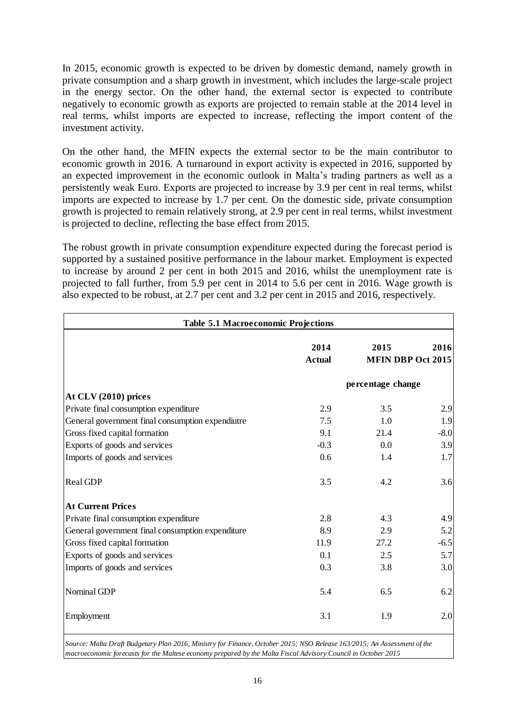In 2015, economic growth is expected to be driven by domestic demand, namely growth in private consumption and a sharp growth in investment, which includes the large-scale project in the energy sector. On the other hand, the external sector is expected to contribute negatively to economic growth as exports are projected to remain stable at the 2014 level in real terms, whilst imports are expected to increase, reflecting the import content of the investment activity.

On the other hand, the MFIN expects the external sector to be the main contributor to economic growth in 2016. A turnaround in export activity is expected in 2016, supported by an expected improvement in the economic outlook in Malta's trading partners as well as a persistently weak Euro. Exports are projected to increase by 3.9 per cent in real terms, whilst imports are expected to increase by 1.7 per cent. On the domestic side, private consumption growth is projected to remain relatively strong, at 2.9 per cent in real terms, whilst investment is projected to decline, reflecting the base effect from 2015.

The robust growth in private consumption expenditure expected during the forecast period is supported by a sustained positive performance in the labour market. Employment is expected to increase by around 2 per cent in both 2015 and 2016, whilst the unemployment rate is projected to fall further, from 5.9 per cent in 2014 to 5.6 per cent in 2016. Wage growth is also expected to be robust, at 2.7 per cent and 3.2 per cent in 2015 and 2016, respectively.

| Table 5.1 Macroeconomic Projections              |                       |                                  |        |  |  |  |
|--------------------------------------------------|-----------------------|----------------------------------|--------|--|--|--|
|                                                  | 2014<br><b>Actual</b> | 2015<br><b>MFIN DBP Oct 2015</b> | 2016   |  |  |  |
|                                                  |                       | percentage change                |        |  |  |  |
| At CLV (2010) prices                             |                       |                                  |        |  |  |  |
| Private final consumption expenditure            | 2.9                   | 3.5                              | 2.9    |  |  |  |
| General government final consumption expendiutre | 7.5                   | 1.0                              | 1.9    |  |  |  |
| Gross fixed capital formation                    | 9.1                   | 21.4                             | $-8.0$ |  |  |  |
| Exports of goods and services                    | $-0.3$                | 0.0                              | 3.9    |  |  |  |
| Imports of goods and services                    | 0.6                   | 1.4                              | 1.7    |  |  |  |
| Real GDP                                         | 3.5                   | 4.2                              | 3.6    |  |  |  |
| <b>At Current Prices</b>                         |                       |                                  |        |  |  |  |
| Private final consumption expenditure            | 2.8                   | 4.3                              | 4.9    |  |  |  |
| General government final consumption expenditure | 8.9                   | 2.9                              | 5.2    |  |  |  |
| Gross fixed capital formation                    | 11.9                  | 27.2                             | $-6.5$ |  |  |  |
| Exports of goods and services                    | 0.1                   | 2.5                              | 5.7    |  |  |  |
| Imports of goods and services                    | 0.3                   | 3.8                              | 3.0    |  |  |  |
| Nominal GDP                                      | 5.4                   | 6.5                              | 6.2    |  |  |  |
| Employment                                       | 3.1                   | 1.9                              | 2.0    |  |  |  |

*Source: Malta Draft Budgetary Plan 2016, Ministry for Finance, October 2015; NSO Release 163/2015; An Assessment of the macroeconomic forecasts for the Maltese economy prepared by the Malta Fiscal Advisory Council in October 2015*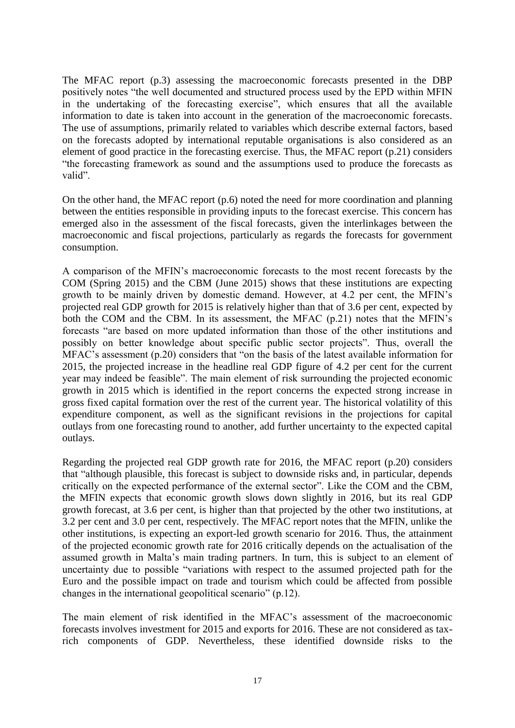The MFAC report (p.3) assessing the macroeconomic forecasts presented in the DBP positively notes "the well documented and structured process used by the EPD within MFIN in the undertaking of the forecasting exercise", which ensures that all the available information to date is taken into account in the generation of the macroeconomic forecasts. The use of assumptions, primarily related to variables which describe external factors, based on the forecasts adopted by international reputable organisations is also considered as an element of good practice in the forecasting exercise. Thus, the MFAC report (p.21) considers "the forecasting framework as sound and the assumptions used to produce the forecasts as valid".

On the other hand, the MFAC report (p.6) noted the need for more coordination and planning between the entities responsible in providing inputs to the forecast exercise. This concern has emerged also in the assessment of the fiscal forecasts, given the interlinkages between the macroeconomic and fiscal projections, particularly as regards the forecasts for government consumption.

A comparison of the MFIN's macroeconomic forecasts to the most recent forecasts by the COM (Spring 2015) and the CBM (June 2015) shows that these institutions are expecting growth to be mainly driven by domestic demand. However, at 4.2 per cent, the MFIN's projected real GDP growth for 2015 is relatively higher than that of 3.6 per cent, expected by both the COM and the CBM. In its assessment, the MFAC (p.21) notes that the MFIN's forecasts "are based on more updated information than those of the other institutions and possibly on better knowledge about specific public sector projects". Thus, overall the MFAC's assessment (p.20) considers that "on the basis of the latest available information for 2015, the projected increase in the headline real GDP figure of 4.2 per cent for the current year may indeed be feasible". The main element of risk surrounding the projected economic growth in 2015 which is identified in the report concerns the expected strong increase in gross fixed capital formation over the rest of the current year. The historical volatility of this expenditure component, as well as the significant revisions in the projections for capital outlays from one forecasting round to another, add further uncertainty to the expected capital outlays.

Regarding the projected real GDP growth rate for 2016, the MFAC report (p.20) considers that "although plausible, this forecast is subject to downside risks and, in particular, depends critically on the expected performance of the external sector". Like the COM and the CBM, the MFIN expects that economic growth slows down slightly in 2016, but its real GDP growth forecast, at 3.6 per cent, is higher than that projected by the other two institutions, at 3.2 per cent and 3.0 per cent, respectively. The MFAC report notes that the MFIN, unlike the other institutions, is expecting an export-led growth scenario for 2016. Thus, the attainment of the projected economic growth rate for 2016 critically depends on the actualisation of the assumed growth in Malta's main trading partners. In turn, this is subject to an element of uncertainty due to possible "variations with respect to the assumed projected path for the Euro and the possible impact on trade and tourism which could be affected from possible changes in the international geopolitical scenario" (p.12).

The main element of risk identified in the MFAC's assessment of the macroeconomic forecasts involves investment for 2015 and exports for 2016. These are not considered as taxrich components of GDP. Nevertheless, these identified downside risks to the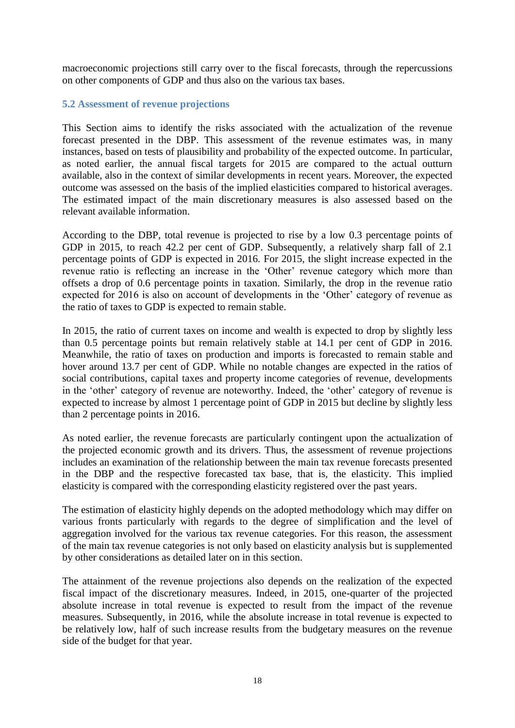macroeconomic projections still carry over to the fiscal forecasts, through the repercussions on other components of GDP and thus also on the various tax bases.

#### **5.2 Assessment of revenue projections**

This Section aims to identify the risks associated with the actualization of the revenue forecast presented in the DBP. This assessment of the revenue estimates was, in many instances, based on tests of plausibility and probability of the expected outcome. In particular, as noted earlier, the annual fiscal targets for 2015 are compared to the actual outturn available, also in the context of similar developments in recent years. Moreover, the expected outcome was assessed on the basis of the implied elasticities compared to historical averages. The estimated impact of the main discretionary measures is also assessed based on the relevant available information.

According to the DBP, total revenue is projected to rise by a low 0.3 percentage points of GDP in 2015, to reach 42.2 per cent of GDP. Subsequently, a relatively sharp fall of 2.1 percentage points of GDP is expected in 2016. For 2015, the slight increase expected in the revenue ratio is reflecting an increase in the 'Other' revenue category which more than offsets a drop of 0.6 percentage points in taxation. Similarly, the drop in the revenue ratio expected for 2016 is also on account of developments in the 'Other' category of revenue as the ratio of taxes to GDP is expected to remain stable.

In 2015, the ratio of current taxes on income and wealth is expected to drop by slightly less than 0.5 percentage points but remain relatively stable at 14.1 per cent of GDP in 2016. Meanwhile, the ratio of taxes on production and imports is forecasted to remain stable and hover around 13.7 per cent of GDP. While no notable changes are expected in the ratios of social contributions, capital taxes and property income categories of revenue, developments in the 'other' category of revenue are noteworthy. Indeed, the 'other' category of revenue is expected to increase by almost 1 percentage point of GDP in 2015 but decline by slightly less than 2 percentage points in 2016.

As noted earlier, the revenue forecasts are particularly contingent upon the actualization of the projected economic growth and its drivers. Thus, the assessment of revenue projections includes an examination of the relationship between the main tax revenue forecasts presented in the DBP and the respective forecasted tax base, that is, the elasticity. This implied elasticity is compared with the corresponding elasticity registered over the past years.

The estimation of elasticity highly depends on the adopted methodology which may differ on various fronts particularly with regards to the degree of simplification and the level of aggregation involved for the various tax revenue categories. For this reason, the assessment of the main tax revenue categories is not only based on elasticity analysis but is supplemented by other considerations as detailed later on in this section.

The attainment of the revenue projections also depends on the realization of the expected fiscal impact of the discretionary measures. Indeed, in 2015, one-quarter of the projected absolute increase in total revenue is expected to result from the impact of the revenue measures. Subsequently, in 2016, while the absolute increase in total revenue is expected to be relatively low, half of such increase results from the budgetary measures on the revenue side of the budget for that year.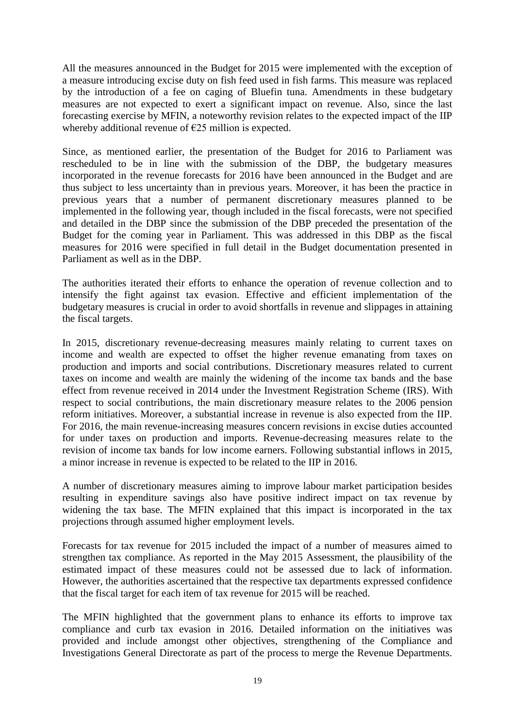All the measures announced in the Budget for 2015 were implemented with the exception of a measure introducing excise duty on fish feed used in fish farms. This measure was replaced by the introduction of a fee on caging of Bluefin tuna. Amendments in these budgetary measures are not expected to exert a significant impact on revenue. Also, since the last forecasting exercise by MFIN, a noteworthy revision relates to the expected impact of the IIP whereby additional revenue of  $E$  million is expected.

Since, as mentioned earlier, the presentation of the Budget for 2016 to Parliament was rescheduled to be in line with the submission of the DBP, the budgetary measures incorporated in the revenue forecasts for 2016 have been announced in the Budget and are thus subject to less uncertainty than in previous years. Moreover, it has been the practice in previous years that a number of permanent discretionary measures planned to be implemented in the following year, though included in the fiscal forecasts, were not specified and detailed in the DBP since the submission of the DBP preceded the presentation of the Budget for the coming year in Parliament. This was addressed in this DBP as the fiscal measures for 2016 were specified in full detail in the Budget documentation presented in Parliament as well as in the DBP.

The authorities iterated their efforts to enhance the operation of revenue collection and to intensify the fight against tax evasion. Effective and efficient implementation of the budgetary measures is crucial in order to avoid shortfalls in revenue and slippages in attaining the fiscal targets.

In 2015, discretionary revenue-decreasing measures mainly relating to current taxes on income and wealth are expected to offset the higher revenue emanating from taxes on production and imports and social contributions. Discretionary measures related to current taxes on income and wealth are mainly the widening of the income tax bands and the base effect from revenue received in 2014 under the Investment Registration Scheme (IRS). With respect to social contributions, the main discretionary measure relates to the 2006 pension reform initiatives. Moreover, a substantial increase in revenue is also expected from the IIP. For 2016, the main revenue-increasing measures concern revisions in excise duties accounted for under taxes on production and imports. Revenue-decreasing measures relate to the revision of income tax bands for low income earners. Following substantial inflows in 2015, a minor increase in revenue is expected to be related to the IIP in 2016.

A number of discretionary measures aiming to improve labour market participation besides resulting in expenditure savings also have positive indirect impact on tax revenue by widening the tax base. The MFIN explained that this impact is incorporated in the tax projections through assumed higher employment levels.

Forecasts for tax revenue for 2015 included the impact of a number of measures aimed to strengthen tax compliance. As reported in the May 2015 Assessment, the plausibility of the estimated impact of these measures could not be assessed due to lack of information. However, the authorities ascertained that the respective tax departments expressed confidence that the fiscal target for each item of tax revenue for 2015 will be reached.

The MFIN highlighted that the government plans to enhance its efforts to improve tax compliance and curb tax evasion in 2016. Detailed information on the initiatives was provided and include amongst other objectives, strengthening of the Compliance and Investigations General Directorate as part of the process to merge the Revenue Departments.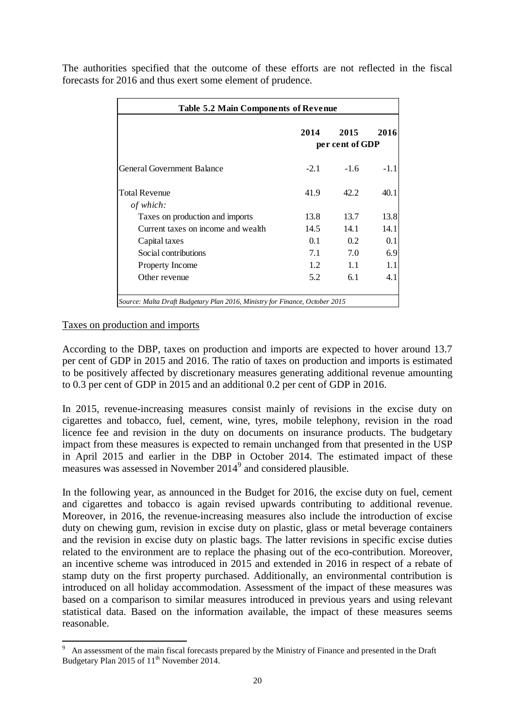| <b>Table 5.2 Main Components of Revenue</b> |        |                                 |      |  |  |
|---------------------------------------------|--------|---------------------------------|------|--|--|
|                                             | 2014   | 2015<br>2016<br>per cent of GDP |      |  |  |
| <b>General Government Balance</b>           | $-2.1$ | $-1.6$                          | -11  |  |  |
| <b>Total Revenue</b><br>of which:           | 41.9   | 42.2                            | 40.1 |  |  |
| Taxes on production and imports             | 13.8   | 13.7                            | 13.8 |  |  |
| Current taxes on income and wealth          | 14.5   | 14.1                            | 14.1 |  |  |
| Capital taxes                               | 0.1    | 0.2                             | 0.1  |  |  |
| Social contributions                        | 7.1    | 7.0                             | 6.9  |  |  |
| <b>Property Income</b>                      | 1.2    | 1.1                             | 1.1  |  |  |
| Other revenue                               | 5.2    | 6.1                             | 4.1  |  |  |

The authorities specified that the outcome of these efforts are not reflected in the fiscal forecasts for 2016 and thus exert some element of prudence.

#### Taxes on production and imports

According to the DBP, taxes on production and imports are expected to hover around 13.7 per cent of GDP in 2015 and 2016. The ratio of taxes on production and imports is estimated to be positively affected by discretionary measures generating additional revenue amounting to 0.3 per cent of GDP in 2015 and an additional 0.2 per cent of GDP in 2016.

In 2015, revenue-increasing measures consist mainly of revisions in the excise duty on cigarettes and tobacco, fuel, cement, wine, tyres, mobile telephony, revision in the road licence fee and revision in the duty on documents on insurance products. The budgetary impact from these measures is expected to remain unchanged from that presented in the USP in April 2015 and earlier in the DBP in October 2014. The estimated impact of these measures was assessed in November 2014<sup>9</sup> and considered plausible.

In the following year, as announced in the Budget for 2016, the excise duty on fuel, cement and cigarettes and tobacco is again revised upwards contributing to additional revenue. Moreover, in 2016, the revenue-increasing measures also include the introduction of excise duty on chewing gum, revision in excise duty on plastic, glass or metal beverage containers and the revision in excise duty on plastic bags. The latter revisions in specific excise duties related to the environment are to replace the phasing out of the eco-contribution. Moreover, an incentive scheme was introduced in 2015 and extended in 2016 in respect of a rebate of stamp duty on the first property purchased. Additionally, an environmental contribution is introduced on all holiday accommodation. Assessment of the impact of these measures was based on a comparison to similar measures introduced in previous years and using relevant statistical data. Based on the information available, the impact of these measures seems reasonable.

<sup>&</sup>lt;sup>9</sup> An assessment of the main fiscal forecasts prepared by the Ministry of Finance and presented in the Draft Budgetary Plan 2015 of 11<sup>th</sup> November 2014.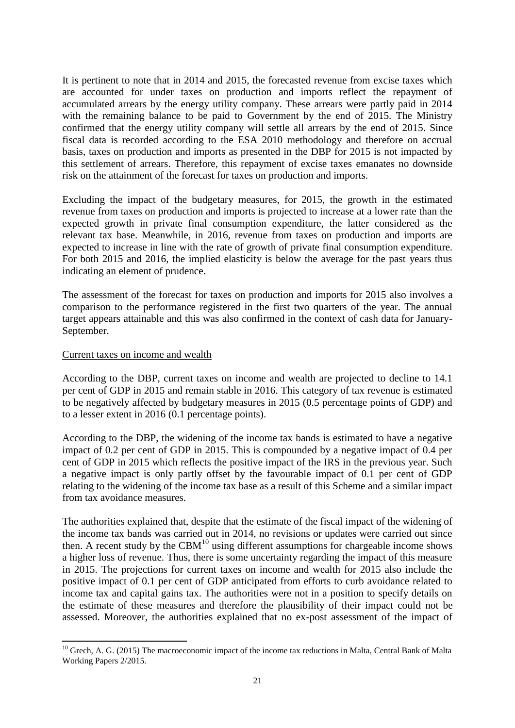It is pertinent to note that in 2014 and 2015, the forecasted revenue from excise taxes which are accounted for under taxes on production and imports reflect the repayment of accumulated arrears by the energy utility company. These arrears were partly paid in 2014 with the remaining balance to be paid to Government by the end of 2015. The Ministry confirmed that the energy utility company will settle all arrears by the end of 2015. Since fiscal data is recorded according to the ESA 2010 methodology and therefore on accrual basis, taxes on production and imports as presented in the DBP for 2015 is not impacted by this settlement of arrears. Therefore, this repayment of excise taxes emanates no downside risk on the attainment of the forecast for taxes on production and imports.

Excluding the impact of the budgetary measures, for 2015, the growth in the estimated revenue from taxes on production and imports is projected to increase at a lower rate than the expected growth in private final consumption expenditure, the latter considered as the relevant tax base. Meanwhile, in 2016, revenue from taxes on production and imports are expected to increase in line with the rate of growth of private final consumption expenditure. For both 2015 and 2016, the implied elasticity is below the average for the past years thus indicating an element of prudence.

The assessment of the forecast for taxes on production and imports for 2015 also involves a comparison to the performance registered in the first two quarters of the year. The annual target appears attainable and this was also confirmed in the context of cash data for January-September.

#### Current taxes on income and wealth

According to the DBP, current taxes on income and wealth are projected to decline to 14.1 per cent of GDP in 2015 and remain stable in 2016. This category of tax revenue is estimated to be negatively affected by budgetary measures in 2015 (0.5 percentage points of GDP) and to a lesser extent in 2016 (0.1 percentage points).

According to the DBP, the widening of the income tax bands is estimated to have a negative impact of 0.2 per cent of GDP in 2015. This is compounded by a negative impact of 0.4 per cent of GDP in 2015 which reflects the positive impact of the IRS in the previous year. Such a negative impact is only partly offset by the favourable impact of 0.1 per cent of GDP relating to the widening of the income tax base as a result of this Scheme and a similar impact from tax avoidance measures.

The authorities explained that, despite that the estimate of the fiscal impact of the widening of the income tax bands was carried out in 2014, no revisions or updates were carried out since then. A recent study by the  $CBM<sup>10</sup>$  using different assumptions for chargeable income shows a higher loss of revenue. Thus, there is some uncertainty regarding the impact of this measure in 2015. The projections for current taxes on income and wealth for 2015 also include the positive impact of 0.1 per cent of GDP anticipated from efforts to curb avoidance related to income tax and capital gains tax. The authorities were not in a position to specify details on the estimate of these measures and therefore the plausibility of their impact could not be assessed. Moreover, the authorities explained that no ex-post assessment of the impact of

**<sup>.</sup>**  $10$  Grech, A. G. (2015) The macroeconomic impact of the income tax reductions in Malta, Central Bank of Malta Working Papers 2/2015.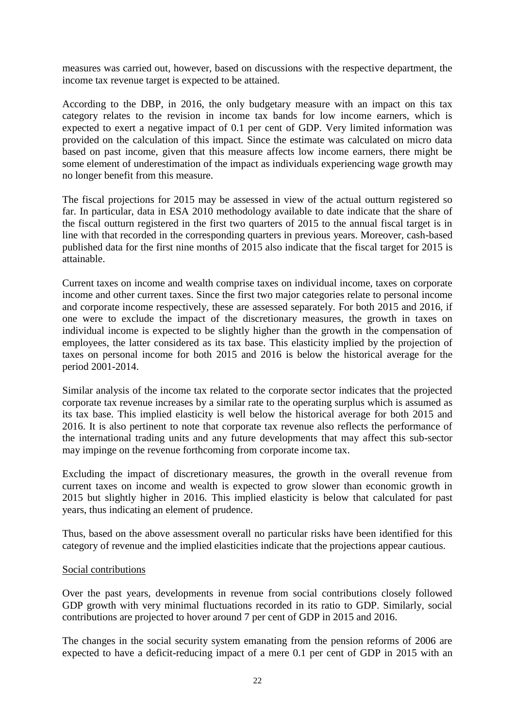measures was carried out, however, based on discussions with the respective department, the income tax revenue target is expected to be attained.

According to the DBP, in 2016, the only budgetary measure with an impact on this tax category relates to the revision in income tax bands for low income earners, which is expected to exert a negative impact of 0.1 per cent of GDP. Very limited information was provided on the calculation of this impact. Since the estimate was calculated on micro data based on past income, given that this measure affects low income earners, there might be some element of underestimation of the impact as individuals experiencing wage growth may no longer benefit from this measure.

The fiscal projections for 2015 may be assessed in view of the actual outturn registered so far. In particular, data in ESA 2010 methodology available to date indicate that the share of the fiscal outturn registered in the first two quarters of 2015 to the annual fiscal target is in line with that recorded in the corresponding quarters in previous years. Moreover, cash-based published data for the first nine months of 2015 also indicate that the fiscal target for 2015 is attainable.

Current taxes on income and wealth comprise taxes on individual income, taxes on corporate income and other current taxes. Since the first two major categories relate to personal income and corporate income respectively, these are assessed separately. For both 2015 and 2016, if one were to exclude the impact of the discretionary measures, the growth in taxes on individual income is expected to be slightly higher than the growth in the compensation of employees, the latter considered as its tax base. This elasticity implied by the projection of taxes on personal income for both 2015 and 2016 is below the historical average for the period 2001-2014.

Similar analysis of the income tax related to the corporate sector indicates that the projected corporate tax revenue increases by a similar rate to the operating surplus which is assumed as its tax base. This implied elasticity is well below the historical average for both 2015 and 2016. It is also pertinent to note that corporate tax revenue also reflects the performance of the international trading units and any future developments that may affect this sub-sector may impinge on the revenue forthcoming from corporate income tax.

Excluding the impact of discretionary measures, the growth in the overall revenue from current taxes on income and wealth is expected to grow slower than economic growth in 2015 but slightly higher in 2016. This implied elasticity is below that calculated for past years, thus indicating an element of prudence.

Thus, based on the above assessment overall no particular risks have been identified for this category of revenue and the implied elasticities indicate that the projections appear cautious.

#### Social contributions

Over the past years, developments in revenue from social contributions closely followed GDP growth with very minimal fluctuations recorded in its ratio to GDP. Similarly, social contributions are projected to hover around 7 per cent of GDP in 2015 and 2016.

The changes in the social security system emanating from the pension reforms of 2006 are expected to have a deficit-reducing impact of a mere 0.1 per cent of GDP in 2015 with an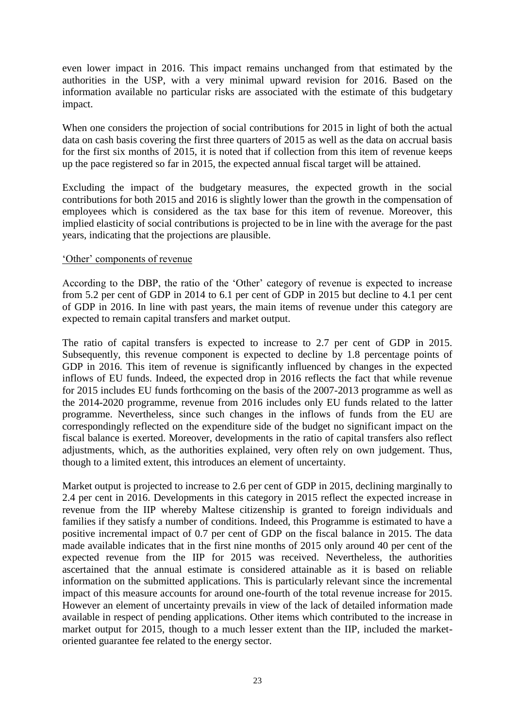even lower impact in 2016. This impact remains unchanged from that estimated by the authorities in the USP, with a very minimal upward revision for 2016. Based on the information available no particular risks are associated with the estimate of this budgetary impact.

When one considers the projection of social contributions for 2015 in light of both the actual data on cash basis covering the first three quarters of 2015 as well as the data on accrual basis for the first six months of 2015, it is noted that if collection from this item of revenue keeps up the pace registered so far in 2015, the expected annual fiscal target will be attained.

Excluding the impact of the budgetary measures, the expected growth in the social contributions for both 2015 and 2016 is slightly lower than the growth in the compensation of employees which is considered as the tax base for this item of revenue. Moreover, this implied elasticity of social contributions is projected to be in line with the average for the past years, indicating that the projections are plausible.

#### 'Other' components of revenue

According to the DBP, the ratio of the 'Other' category of revenue is expected to increase from 5.2 per cent of GDP in 2014 to 6.1 per cent of GDP in 2015 but decline to 4.1 per cent of GDP in 2016. In line with past years, the main items of revenue under this category are expected to remain capital transfers and market output.

The ratio of capital transfers is expected to increase to 2.7 per cent of GDP in 2015. Subsequently, this revenue component is expected to decline by 1.8 percentage points of GDP in 2016. This item of revenue is significantly influenced by changes in the expected inflows of EU funds. Indeed, the expected drop in 2016 reflects the fact that while revenue for 2015 includes EU funds forthcoming on the basis of the 2007-2013 programme as well as the 2014-2020 programme, revenue from 2016 includes only EU funds related to the latter programme. Nevertheless, since such changes in the inflows of funds from the EU are correspondingly reflected on the expenditure side of the budget no significant impact on the fiscal balance is exerted. Moreover, developments in the ratio of capital transfers also reflect adjustments, which, as the authorities explained, very often rely on own judgement. Thus, though to a limited extent, this introduces an element of uncertainty.

Market output is projected to increase to 2.6 per cent of GDP in 2015, declining marginally to 2.4 per cent in 2016. Developments in this category in 2015 reflect the expected increase in revenue from the IIP whereby Maltese citizenship is granted to foreign individuals and families if they satisfy a number of conditions. Indeed, this Programme is estimated to have a positive incremental impact of 0.7 per cent of GDP on the fiscal balance in 2015. The data made available indicates that in the first nine months of 2015 only around 40 per cent of the expected revenue from the IIP for 2015 was received. Nevertheless, the authorities ascertained that the annual estimate is considered attainable as it is based on reliable information on the submitted applications. This is particularly relevant since the incremental impact of this measure accounts for around one-fourth of the total revenue increase for 2015. However an element of uncertainty prevails in view of the lack of detailed information made available in respect of pending applications. Other items which contributed to the increase in market output for 2015, though to a much lesser extent than the IIP, included the marketoriented guarantee fee related to the energy sector.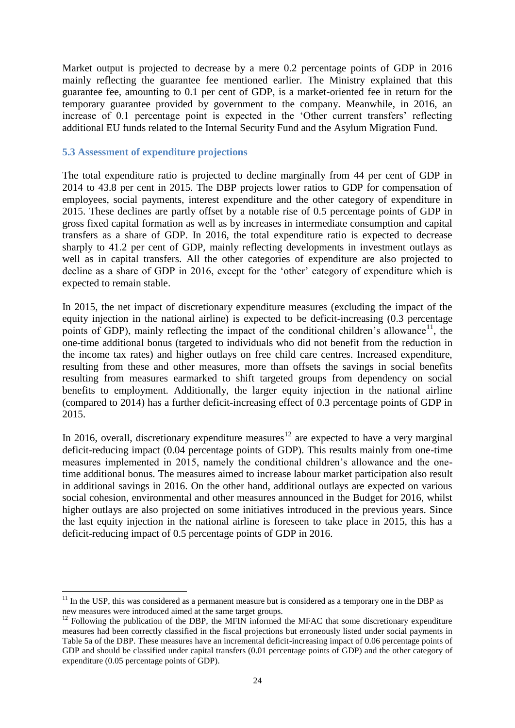Market output is projected to decrease by a mere 0.2 percentage points of GDP in 2016 mainly reflecting the guarantee fee mentioned earlier. The Ministry explained that this guarantee fee, amounting to 0.1 per cent of GDP, is a market-oriented fee in return for the temporary guarantee provided by government to the company. Meanwhile, in 2016, an increase of 0.1 percentage point is expected in the 'Other current transfers' reflecting additional EU funds related to the Internal Security Fund and the Asylum Migration Fund.

#### **5.3 Assessment of expenditure projections**

**.** 

The total expenditure ratio is projected to decline marginally from 44 per cent of GDP in 2014 to 43.8 per cent in 2015. The DBP projects lower ratios to GDP for compensation of employees, social payments, interest expenditure and the other category of expenditure in 2015. These declines are partly offset by a notable rise of 0.5 percentage points of GDP in gross fixed capital formation as well as by increases in intermediate consumption and capital transfers as a share of GDP. In 2016, the total expenditure ratio is expected to decrease sharply to 41.2 per cent of GDP, mainly reflecting developments in investment outlays as well as in capital transfers. All the other categories of expenditure are also projected to decline as a share of GDP in 2016, except for the 'other' category of expenditure which is expected to remain stable.

In 2015, the net impact of discretionary expenditure measures (excluding the impact of the equity injection in the national airline) is expected to be deficit-increasing (0.3 percentage points of GDP), mainly reflecting the impact of the conditional children's allowance<sup>11</sup>, the one-time additional bonus (targeted to individuals who did not benefit from the reduction in the income tax rates) and higher outlays on free child care centres. Increased expenditure, resulting from these and other measures, more than offsets the savings in social benefits resulting from measures earmarked to shift targeted groups from dependency on social benefits to employment. Additionally, the larger equity injection in the national airline (compared to 2014) has a further deficit-increasing effect of 0.3 percentage points of GDP in 2015.

In 2016, overall, discretionary expenditure measures<sup>12</sup> are expected to have a very marginal deficit-reducing impact (0.04 percentage points of GDP). This results mainly from one-time measures implemented in 2015, namely the conditional children's allowance and the onetime additional bonus. The measures aimed to increase labour market participation also result in additional savings in 2016. On the other hand, additional outlays are expected on various social cohesion, environmental and other measures announced in the Budget for 2016, whilst higher outlays are also projected on some initiatives introduced in the previous years. Since the last equity injection in the national airline is foreseen to take place in 2015, this has a deficit-reducing impact of 0.5 percentage points of GDP in 2016.

 $11$  In the USP, this was considered as a permanent measure but is considered as a temporary one in the DBP as new measures were introduced aimed at the same target groups.

 $12$  Following the publication of the DBP, the MFIN informed the MFAC that some discretionary expenditure measures had been correctly classified in the fiscal projections but erroneously listed under social payments in Table 5a of the DBP. These measures have an incremental deficit-increasing impact of 0.06 percentage points of GDP and should be classified under capital transfers (0.01 percentage points of GDP) and the other category of expenditure (0.05 percentage points of GDP).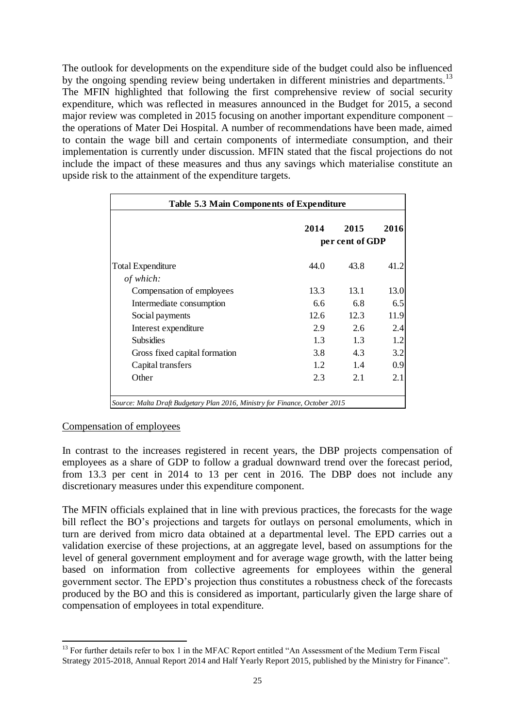The outlook for developments on the expenditure side of the budget could also be influenced by the ongoing spending review being undertaken in different ministries and departments.<sup>13</sup> The MFIN highlighted that following the first comprehensive review of social security expenditure, which was reflected in measures announced in the Budget for 2015, a second major review was completed in 2015 focusing on another important expenditure component – the operations of Mater Dei Hospital. A number of recommendations have been made, aimed to contain the wage bill and certain components of intermediate consumption, and their implementation is currently under discussion. MFIN stated that the fiscal projections do not include the impact of these measures and thus any savings which materialise constitute an upside risk to the attainment of the expenditure targets.

|                                        | 2014<br>2015<br>2016<br>per cent of GDP |      |      |  |  |
|----------------------------------------|-----------------------------------------|------|------|--|--|
| <b>Total Expenditure</b>               | 44.0                                    | 43.8 | 41.2 |  |  |
| of which:<br>Compensation of employees | 13.3                                    | 13.1 | 13.0 |  |  |
| Intermediate consumption               | 6.6                                     | 6.8  | 6.5  |  |  |
| Social payments                        | 12.6                                    | 12.3 | 11.9 |  |  |
| Interest expenditure                   | 2.9                                     | 2.6  | 2.4  |  |  |
| <b>Subsidies</b>                       | 1.3                                     | 1.3  | 1.2  |  |  |
| Gross fixed capital formation          | 3.8                                     | 4.3  | 3.2  |  |  |
| Capital transfers                      | 1.2                                     | 1.4  | 0.9  |  |  |
| Other                                  | 2.3                                     | 2.1  | 2.1  |  |  |

#### Compensation of employees

In contrast to the increases registered in recent years, the DBP projects compensation of employees as a share of GDP to follow a gradual downward trend over the forecast period, from 13.3 per cent in 2014 to 13 per cent in 2016. The DBP does not include any discretionary measures under this expenditure component.

The MFIN officials explained that in line with previous practices, the forecasts for the wage bill reflect the BO's projections and targets for outlays on personal emoluments, which in turn are derived from micro data obtained at a departmental level. The EPD carries out a validation exercise of these projections, at an aggregate level, based on assumptions for the level of general government employment and for average wage growth, with the latter being based on information from collective agreements for employees within the general government sector. The EPD's projection thus constitutes a robustness check of the forecasts produced by the BO and this is considered as important, particularly given the large share of compensation of employees in total expenditure.

**<sup>.</sup>** <sup>13</sup> For further details refer to box 1 in the MFAC Report entitled "An Assessment of the Medium Term Fiscal Strategy 2015-2018, Annual Report 2014 and Half Yearly Report 2015, published by the Ministry for Finance".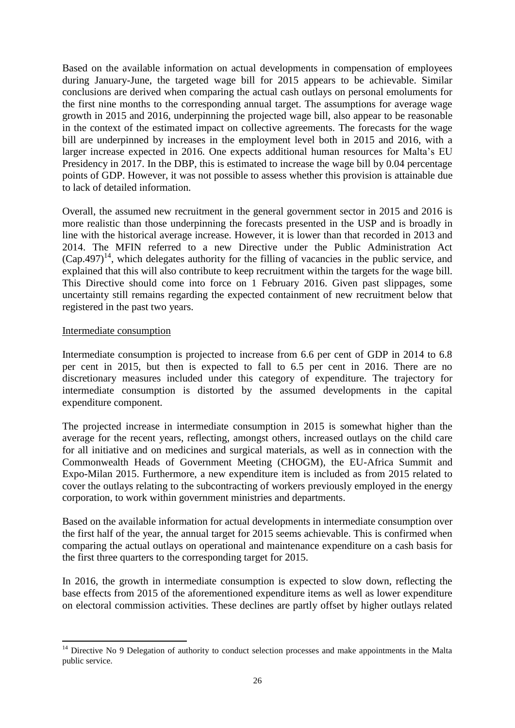Based on the available information on actual developments in compensation of employees during January-June, the targeted wage bill for 2015 appears to be achievable. Similar conclusions are derived when comparing the actual cash outlays on personal emoluments for the first nine months to the corresponding annual target. The assumptions for average wage growth in 2015 and 2016, underpinning the projected wage bill, also appear to be reasonable in the context of the estimated impact on collective agreements. The forecasts for the wage bill are underpinned by increases in the employment level both in 2015 and 2016, with a larger increase expected in 2016. One expects additional human resources for Malta's EU Presidency in 2017. In the DBP, this is estimated to increase the wage bill by 0.04 percentage points of GDP. However, it was not possible to assess whether this provision is attainable due to lack of detailed information.

Overall, the assumed new recruitment in the general government sector in 2015 and 2016 is more realistic than those underpinning the forecasts presented in the USP and is broadly in line with the historical average increase. However, it is lower than that recorded in 2013 and 2014. The MFIN referred to a new Directive under the Public Administration Act  $(Cap.497)^{14}$ , which delegates authority for the filling of vacancies in the public service, and explained that this will also contribute to keep recruitment within the targets for the wage bill. This Directive should come into force on 1 February 2016. Given past slippages, some uncertainty still remains regarding the expected containment of new recruitment below that registered in the past two years.

#### Intermediate consumption

Intermediate consumption is projected to increase from 6.6 per cent of GDP in 2014 to 6.8 per cent in 2015, but then is expected to fall to 6.5 per cent in 2016. There are no discretionary measures included under this category of expenditure. The trajectory for intermediate consumption is distorted by the assumed developments in the capital expenditure component.

The projected increase in intermediate consumption in 2015 is somewhat higher than the average for the recent years, reflecting, amongst others, increased outlays on the child care for all initiative and on medicines and surgical materials, as well as in connection with the Commonwealth Heads of Government Meeting (CHOGM), the EU-Africa Summit and Expo-Milan 2015. Furthermore, a new expenditure item is included as from 2015 related to cover the outlays relating to the subcontracting of workers previously employed in the energy corporation, to work within government ministries and departments.

Based on the available information for actual developments in intermediate consumption over the first half of the year, the annual target for 2015 seems achievable. This is confirmed when comparing the actual outlays on operational and maintenance expenditure on a cash basis for the first three quarters to the corresponding target for 2015.

In 2016, the growth in intermediate consumption is expected to slow down, reflecting the base effects from 2015 of the aforementioned expenditure items as well as lower expenditure on electoral commission activities. These declines are partly offset by higher outlays related

**<sup>.</sup>**  $14$  Directive No 9 Delegation of authority to conduct selection processes and make appointments in the Malta public service.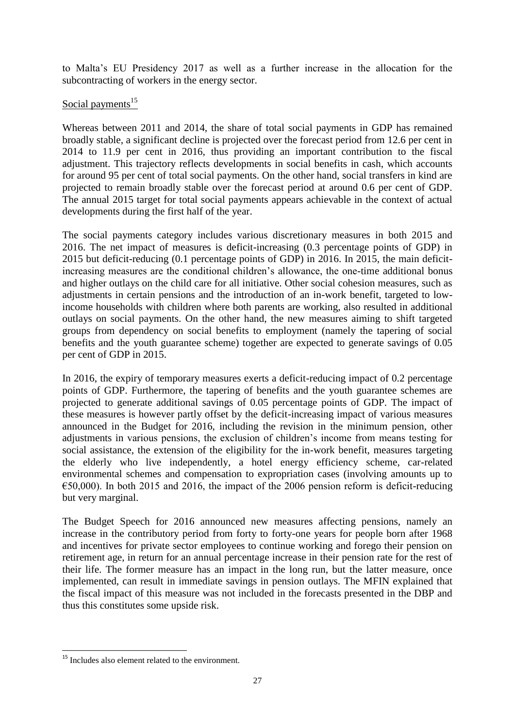to Malta's EU Presidency 2017 as well as a further increase in the allocation for the subcontracting of workers in the energy sector.

# Social payments $^{15}$

Whereas between 2011 and 2014, the share of total social payments in GDP has remained broadly stable, a significant decline is projected over the forecast period from 12.6 per cent in 2014 to 11.9 per cent in 2016, thus providing an important contribution to the fiscal adjustment. This trajectory reflects developments in social benefits in cash, which accounts for around 95 per cent of total social payments. On the other hand, social transfers in kind are projected to remain broadly stable over the forecast period at around 0.6 per cent of GDP. The annual 2015 target for total social payments appears achievable in the context of actual developments during the first half of the year.

The social payments category includes various discretionary measures in both 2015 and 2016. The net impact of measures is deficit-increasing (0.3 percentage points of GDP) in 2015 but deficit-reducing (0.1 percentage points of GDP) in 2016. In 2015, the main deficitincreasing measures are the conditional children's allowance, the one-time additional bonus and higher outlays on the child care for all initiative. Other social cohesion measures, such as adjustments in certain pensions and the introduction of an in-work benefit, targeted to lowincome households with children where both parents are working, also resulted in additional outlays on social payments. On the other hand, the new measures aiming to shift targeted groups from dependency on social benefits to employment (namely the tapering of social benefits and the youth guarantee scheme) together are expected to generate savings of 0.05 per cent of GDP in 2015.

In 2016, the expiry of temporary measures exerts a deficit-reducing impact of 0.2 percentage points of GDP. Furthermore, the tapering of benefits and the youth guarantee schemes are projected to generate additional savings of 0.05 percentage points of GDP. The impact of these measures is however partly offset by the deficit-increasing impact of various measures announced in the Budget for 2016, including the revision in the minimum pension, other adjustments in various pensions, the exclusion of children's income from means testing for social assistance, the extension of the eligibility for the in-work benefit, measures targeting the elderly who live independently, a hotel energy efficiency scheme, car-related environmental schemes and compensation to expropriation cases (involving amounts up to  $\epsilon$ 50,000). In both 2015 and 2016, the impact of the 2006 pension reform is deficit-reducing but very marginal.

The Budget Speech for 2016 announced new measures affecting pensions, namely an increase in the contributory period from forty to forty-one years for people born after 1968 and incentives for private sector employees to continue working and forego their pension on retirement age, in return for an annual percentage increase in their pension rate for the rest of their life. The former measure has an impact in the long run, but the latter measure, once implemented, can result in immediate savings in pension outlays. The MFIN explained that the fiscal impact of this measure was not included in the forecasts presented in the DBP and thus this constitutes some upside risk.

**.** 

<sup>&</sup>lt;sup>15</sup> Includes also element related to the environment.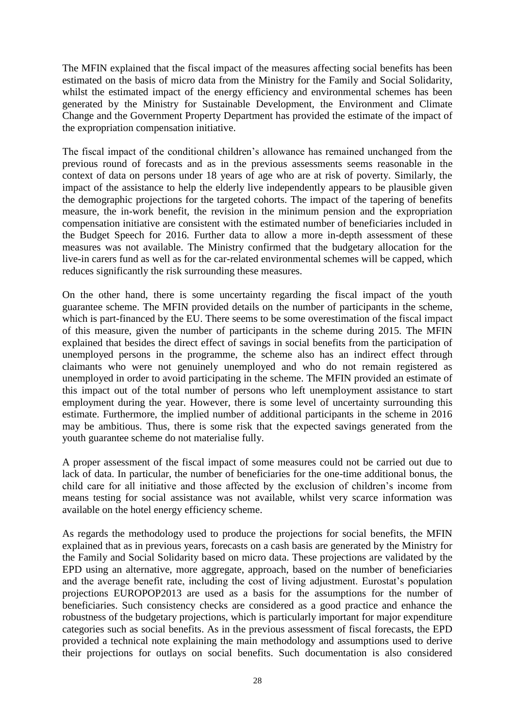The MFIN explained that the fiscal impact of the measures affecting social benefits has been estimated on the basis of micro data from the Ministry for the Family and Social Solidarity, whilst the estimated impact of the energy efficiency and environmental schemes has been generated by the Ministry for Sustainable Development, the Environment and Climate Change and the Government Property Department has provided the estimate of the impact of the expropriation compensation initiative.

The fiscal impact of the conditional children's allowance has remained unchanged from the previous round of forecasts and as in the previous assessments seems reasonable in the context of data on persons under 18 years of age who are at risk of poverty. Similarly, the impact of the assistance to help the elderly live independently appears to be plausible given the demographic projections for the targeted cohorts. The impact of the tapering of benefits measure, the in-work benefit, the revision in the minimum pension and the expropriation compensation initiative are consistent with the estimated number of beneficiaries included in the Budget Speech for 2016. Further data to allow a more in-depth assessment of these measures was not available. The Ministry confirmed that the budgetary allocation for the live-in carers fund as well as for the car-related environmental schemes will be capped, which reduces significantly the risk surrounding these measures.

On the other hand, there is some uncertainty regarding the fiscal impact of the youth guarantee scheme. The MFIN provided details on the number of participants in the scheme, which is part-financed by the EU. There seems to be some overestimation of the fiscal impact of this measure, given the number of participants in the scheme during 2015. The MFIN explained that besides the direct effect of savings in social benefits from the participation of unemployed persons in the programme, the scheme also has an indirect effect through claimants who were not genuinely unemployed and who do not remain registered as unemployed in order to avoid participating in the scheme. The MFIN provided an estimate of this impact out of the total number of persons who left unemployment assistance to start employment during the year. However, there is some level of uncertainty surrounding this estimate. Furthermore, the implied number of additional participants in the scheme in 2016 may be ambitious. Thus, there is some risk that the expected savings generated from the youth guarantee scheme do not materialise fully.

A proper assessment of the fiscal impact of some measures could not be carried out due to lack of data. In particular, the number of beneficiaries for the one-time additional bonus, the child care for all initiative and those affected by the exclusion of children's income from means testing for social assistance was not available, whilst very scarce information was available on the hotel energy efficiency scheme.

As regards the methodology used to produce the projections for social benefits, the MFIN explained that as in previous years, forecasts on a cash basis are generated by the Ministry for the Family and Social Solidarity based on micro data. These projections are validated by the EPD using an alternative, more aggregate, approach, based on the number of beneficiaries and the average benefit rate, including the cost of living adjustment. Eurostat's population projections EUROPOP2013 are used as a basis for the assumptions for the number of beneficiaries. Such consistency checks are considered as a good practice and enhance the robustness of the budgetary projections, which is particularly important for major expenditure categories such as social benefits. As in the previous assessment of fiscal forecasts, the EPD provided a technical note explaining the main methodology and assumptions used to derive their projections for outlays on social benefits. Such documentation is also considered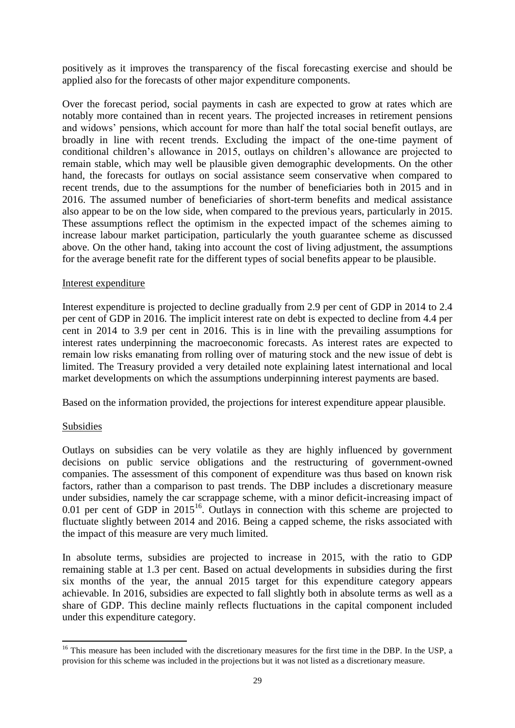positively as it improves the transparency of the fiscal forecasting exercise and should be applied also for the forecasts of other major expenditure components.

Over the forecast period, social payments in cash are expected to grow at rates which are notably more contained than in recent years. The projected increases in retirement pensions and widows' pensions, which account for more than half the total social benefit outlays, are broadly in line with recent trends. Excluding the impact of the one-time payment of conditional children's allowance in 2015, outlays on children's allowance are projected to remain stable, which may well be plausible given demographic developments. On the other hand, the forecasts for outlays on social assistance seem conservative when compared to recent trends, due to the assumptions for the number of beneficiaries both in 2015 and in 2016. The assumed number of beneficiaries of short-term benefits and medical assistance also appear to be on the low side, when compared to the previous years, particularly in 2015. These assumptions reflect the optimism in the expected impact of the schemes aiming to increase labour market participation, particularly the youth guarantee scheme as discussed above. On the other hand, taking into account the cost of living adjustment, the assumptions for the average benefit rate for the different types of social benefits appear to be plausible.

#### Interest expenditure

Interest expenditure is projected to decline gradually from 2.9 per cent of GDP in 2014 to 2.4 per cent of GDP in 2016. The implicit interest rate on debt is expected to decline from 4.4 per cent in 2014 to 3.9 per cent in 2016. This is in line with the prevailing assumptions for interest rates underpinning the macroeconomic forecasts. As interest rates are expected to remain low risks emanating from rolling over of maturing stock and the new issue of debt is limited. The Treasury provided a very detailed note explaining latest international and local market developments on which the assumptions underpinning interest payments are based.

Based on the information provided, the projections for interest expenditure appear plausible.

#### Subsidies

Outlays on subsidies can be very volatile as they are highly influenced by government decisions on public service obligations and the restructuring of government-owned companies. The assessment of this component of expenditure was thus based on known risk factors, rather than a comparison to past trends. The DBP includes a discretionary measure under subsidies, namely the car scrappage scheme, with a minor deficit-increasing impact of 0.01 per cent of GDP in  $2015^{16}$ . Outlays in connection with this scheme are projected to fluctuate slightly between 2014 and 2016. Being a capped scheme, the risks associated with the impact of this measure are very much limited.

In absolute terms, subsidies are projected to increase in 2015, with the ratio to GDP remaining stable at 1.3 per cent. Based on actual developments in subsidies during the first six months of the year, the annual 2015 target for this expenditure category appears achievable. In 2016, subsidies are expected to fall slightly both in absolute terms as well as a share of GDP. This decline mainly reflects fluctuations in the capital component included under this expenditure category.

**<sup>.</sup>** <sup>16</sup> This measure has been included with the discretionary measures for the first time in the DBP. In the USP, a provision for this scheme was included in the projections but it was not listed as a discretionary measure.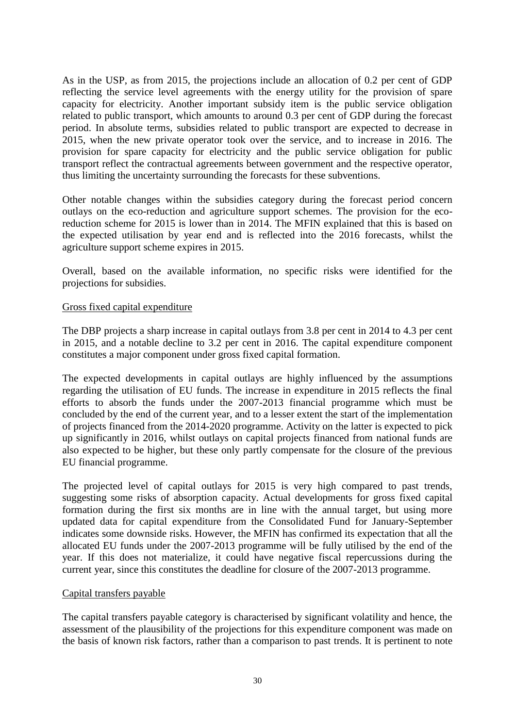As in the USP, as from 2015, the projections include an allocation of 0.2 per cent of GDP reflecting the service level agreements with the energy utility for the provision of spare capacity for electricity. Another important subsidy item is the public service obligation related to public transport, which amounts to around 0.3 per cent of GDP during the forecast period. In absolute terms, subsidies related to public transport are expected to decrease in 2015, when the new private operator took over the service, and to increase in 2016. The provision for spare capacity for electricity and the public service obligation for public transport reflect the contractual agreements between government and the respective operator, thus limiting the uncertainty surrounding the forecasts for these subventions.

Other notable changes within the subsidies category during the forecast period concern outlays on the eco-reduction and agriculture support schemes. The provision for the ecoreduction scheme for 2015 is lower than in 2014. The MFIN explained that this is based on the expected utilisation by year end and is reflected into the 2016 forecasts, whilst the agriculture support scheme expires in 2015.

Overall, based on the available information, no specific risks were identified for the projections for subsidies.

#### Gross fixed capital expenditure

The DBP projects a sharp increase in capital outlays from 3.8 per cent in 2014 to 4.3 per cent in 2015, and a notable decline to 3.2 per cent in 2016. The capital expenditure component constitutes a major component under gross fixed capital formation.

The expected developments in capital outlays are highly influenced by the assumptions regarding the utilisation of EU funds. The increase in expenditure in 2015 reflects the final efforts to absorb the funds under the 2007-2013 financial programme which must be concluded by the end of the current year, and to a lesser extent the start of the implementation of projects financed from the 2014-2020 programme. Activity on the latter is expected to pick up significantly in 2016, whilst outlays on capital projects financed from national funds are also expected to be higher, but these only partly compensate for the closure of the previous EU financial programme.

The projected level of capital outlays for 2015 is very high compared to past trends, suggesting some risks of absorption capacity. Actual developments for gross fixed capital formation during the first six months are in line with the annual target, but using more updated data for capital expenditure from the Consolidated Fund for January-September indicates some downside risks. However, the MFIN has confirmed its expectation that all the allocated EU funds under the 2007-2013 programme will be fully utilised by the end of the year. If this does not materialize, it could have negative fiscal repercussions during the current year, since this constitutes the deadline for closure of the 2007-2013 programme.

#### Capital transfers payable

The capital transfers payable category is characterised by significant volatility and hence, the assessment of the plausibility of the projections for this expenditure component was made on the basis of known risk factors, rather than a comparison to past trends. It is pertinent to note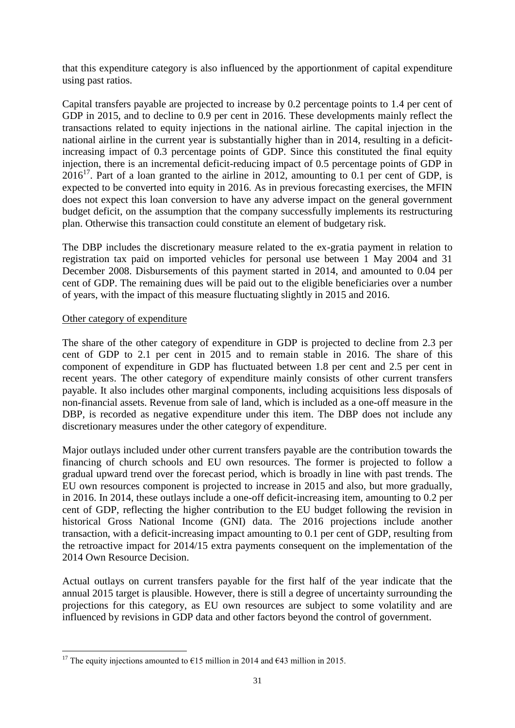that this expenditure category is also influenced by the apportionment of capital expenditure using past ratios.

Capital transfers payable are projected to increase by 0.2 percentage points to 1.4 per cent of GDP in 2015, and to decline to 0.9 per cent in 2016. These developments mainly reflect the transactions related to equity injections in the national airline. The capital injection in the national airline in the current year is substantially higher than in 2014, resulting in a deficitincreasing impact of 0.3 percentage points of GDP. Since this constituted the final equity injection, there is an incremental deficit-reducing impact of 0.5 percentage points of GDP in  $2016^{17}$ . Part of a loan granted to the airline in 2012, amounting to 0.1 per cent of GDP, is expected to be converted into equity in 2016. As in previous forecasting exercises, the MFIN does not expect this loan conversion to have any adverse impact on the general government budget deficit, on the assumption that the company successfully implements its restructuring plan. Otherwise this transaction could constitute an element of budgetary risk.

The DBP includes the discretionary measure related to the ex-gratia payment in relation to registration tax paid on imported vehicles for personal use between 1 May 2004 and 31 December 2008. Disbursements of this payment started in 2014, and amounted to 0.04 per cent of GDP. The remaining dues will be paid out to the eligible beneficiaries over a number of years, with the impact of this measure fluctuating slightly in 2015 and 2016.

#### Other category of expenditure

The share of the other category of expenditure in GDP is projected to decline from 2.3 per cent of GDP to 2.1 per cent in 2015 and to remain stable in 2016. The share of this component of expenditure in GDP has fluctuated between 1.8 per cent and 2.5 per cent in recent years. The other category of expenditure mainly consists of other current transfers payable. It also includes other marginal components, including acquisitions less disposals of non-financial assets. Revenue from sale of land, which is included as a one-off measure in the DBP, is recorded as negative expenditure under this item. The DBP does not include any discretionary measures under the other category of expenditure.

Major outlays included under other current transfers payable are the contribution towards the financing of church schools and EU own resources. The former is projected to follow a gradual upward trend over the forecast period, which is broadly in line with past trends. The EU own resources component is projected to increase in 2015 and also, but more gradually, in 2016. In 2014, these outlays include a one-off deficit-increasing item, amounting to 0.2 per cent of GDP, reflecting the higher contribution to the EU budget following the revision in historical Gross National Income (GNI) data. The 2016 projections include another transaction, with a deficit-increasing impact amounting to 0.1 per cent of GDP, resulting from the retroactive impact for 2014/15 extra payments consequent on the implementation of the 2014 Own Resource Decision.

Actual outlays on current transfers payable for the first half of the year indicate that the annual 2015 target is plausible. However, there is still a degree of uncertainty surrounding the projections for this category, as EU own resources are subject to some volatility and are influenced by revisions in GDP data and other factors beyond the control of government.

**<sup>.</sup>** <sup>17</sup> The equity injections amounted to  $\epsilon$ 15 million in 2014 and  $\epsilon$ 43 million in 2015.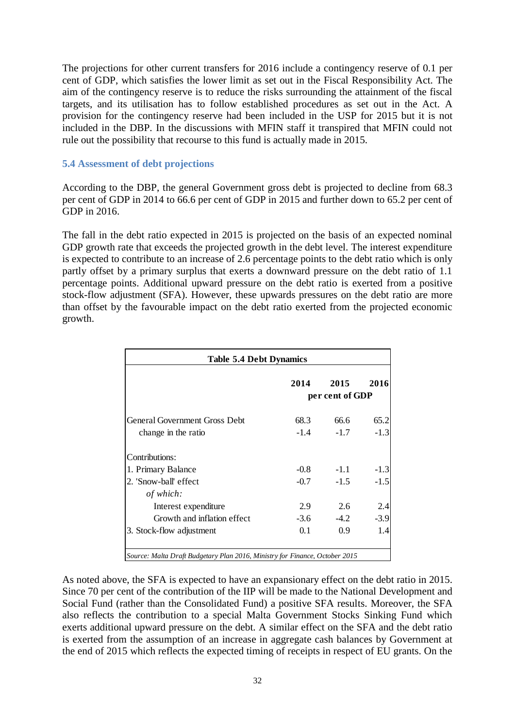The projections for other current transfers for 2016 include a contingency reserve of 0.1 per cent of GDP, which satisfies the lower limit as set out in the Fiscal Responsibility Act. The aim of the contingency reserve is to reduce the risks surrounding the attainment of the fiscal targets, and its utilisation has to follow established procedures as set out in the Act. A provision for the contingency reserve had been included in the USP for 2015 but it is not included in the DBP. In the discussions with MFIN staff it transpired that MFIN could not rule out the possibility that recourse to this fund is actually made in 2015.

#### **5.4 Assessment of debt projections**

According to the DBP, the general Government gross debt is projected to decline from 68.3 per cent of GDP in 2014 to 66.6 per cent of GDP in 2015 and further down to 65.2 per cent of GDP in 2016.

The fall in the debt ratio expected in 2015 is projected on the basis of an expected nominal GDP growth rate that exceeds the projected growth in the debt level. The interest expenditure is expected to contribute to an increase of 2.6 percentage points to the debt ratio which is only partly offset by a primary surplus that exerts a downward pressure on the debt ratio of 1.1 percentage points. Additional upward pressure on the debt ratio is exerted from a positive stock-flow adjustment (SFA). However, these upwards pressures on the debt ratio are more than offset by the favourable impact on the debt ratio exerted from the projected economic growth.

| <b>Table 5.4 Debt Dynamics</b>                                              |        |                 |        |  |  |
|-----------------------------------------------------------------------------|--------|-----------------|--------|--|--|
|                                                                             | 2014   | 2015            | 2016   |  |  |
|                                                                             |        | per cent of GDP |        |  |  |
| <b>General Government Gross Debt</b>                                        | 68.3   | 66.6            | 65.2   |  |  |
| change in the ratio                                                         | $-1.4$ | $-1.7$          | $-1.3$ |  |  |
| Contributions:                                                              |        |                 |        |  |  |
| 1. Primary Balance                                                          | $-0.8$ | $-1.1$          | $-1.3$ |  |  |
| 2. 'Snow-ball' effect                                                       | $-0.7$ | $-1.5$          | $-1.5$ |  |  |
| of which:                                                                   |        |                 |        |  |  |
| Interest expenditure                                                        | 2.9    | 2.6             | 2.4    |  |  |
| Growth and inflation effect                                                 | $-3.6$ | $-4.2$          | $-3.9$ |  |  |
| 3. Stock-flow adjustment                                                    | 0.1    | 0.9             | 1.4    |  |  |
|                                                                             |        |                 |        |  |  |
| Source: Malta Draft Budgetary Plan 2016, Ministry for Finance, October 2015 |        |                 |        |  |  |

As noted above, the SFA is expected to have an expansionary effect on the debt ratio in 2015. Since 70 per cent of the contribution of the IIP will be made to the National Development and Social Fund (rather than the Consolidated Fund) a positive SFA results. Moreover, the SFA also reflects the contribution to a special Malta Government Stocks Sinking Fund which exerts additional upward pressure on the debt. A similar effect on the SFA and the debt ratio is exerted from the assumption of an increase in aggregate cash balances by Government at the end of 2015 which reflects the expected timing of receipts in respect of EU grants. On the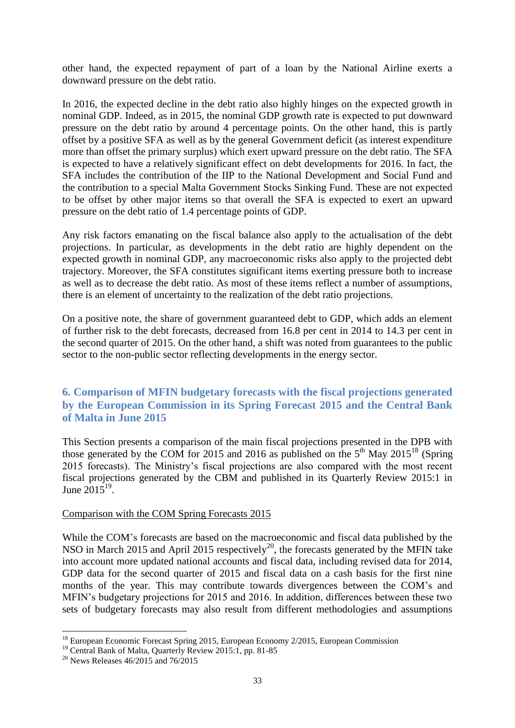other hand, the expected repayment of part of a loan by the National Airline exerts a downward pressure on the debt ratio.

In 2016, the expected decline in the debt ratio also highly hinges on the expected growth in nominal GDP. Indeed, as in 2015, the nominal GDP growth rate is expected to put downward pressure on the debt ratio by around 4 percentage points. On the other hand, this is partly offset by a positive SFA as well as by the general Government deficit (as interest expenditure more than offset the primary surplus) which exert upward pressure on the debt ratio. The SFA is expected to have a relatively significant effect on debt developments for 2016. In fact, the SFA includes the contribution of the IIP to the National Development and Social Fund and the contribution to a special Malta Government Stocks Sinking Fund. These are not expected to be offset by other major items so that overall the SFA is expected to exert an upward pressure on the debt ratio of 1.4 percentage points of GDP.

Any risk factors emanating on the fiscal balance also apply to the actualisation of the debt projections. In particular, as developments in the debt ratio are highly dependent on the expected growth in nominal GDP, any macroeconomic risks also apply to the projected debt trajectory. Moreover, the SFA constitutes significant items exerting pressure both to increase as well as to decrease the debt ratio. As most of these items reflect a number of assumptions, there is an element of uncertainty to the realization of the debt ratio projections.

On a positive note, the share of government guaranteed debt to GDP, which adds an element of further risk to the debt forecasts, decreased from 16.8 per cent in 2014 to 14.3 per cent in the second quarter of 2015. On the other hand, a shift was noted from guarantees to the public sector to the non-public sector reflecting developments in the energy sector.

## **6. Comparison of MFIN budgetary forecasts with the fiscal projections generated by the European Commission in its Spring Forecast 2015 and the Central Bank of Malta in June 2015**

This Section presents a comparison of the main fiscal projections presented in the DPB with those generated by the COM for 2015 and 2016 as published on the  $5<sup>th</sup>$  May 2015<sup>18</sup> (Spring 2015 forecasts). The Ministry's fiscal projections are also compared with the most recent fiscal projections generated by the CBM and published in its Quarterly Review 2015:1 in June  $2015^{19}$ .

#### Comparison with the COM Spring Forecasts 2015

While the COM's forecasts are based on the macroeconomic and fiscal data published by the NSO in March 2015 and April 2015 respectively<sup>20</sup>, the forecasts generated by the MFIN take into account more updated national accounts and fiscal data, including revised data for 2014, GDP data for the second quarter of 2015 and fiscal data on a cash basis for the first nine months of the year. This may contribute towards divergences between the COM's and MFIN's budgetary projections for 2015 and 2016. In addition, differences between these two sets of budgetary forecasts may also result from different methodologies and assumptions

<sup>1</sup> <sup>18</sup> European Economic Forecast Spring 2015, European Economy 2/2015, European Commission

<sup>&</sup>lt;sup>19</sup> Central Bank of Malta, Quarterly Review 2015:1, pp. 81-85

 $20$  News Releases 46/2015 and 76/2015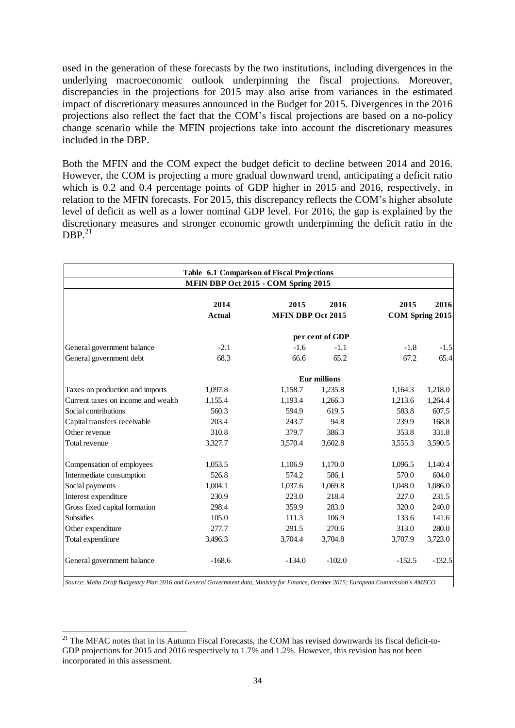used in the generation of these forecasts by the two institutions, including divergences in the underlying macroeconomic outlook underpinning the fiscal projections. Moreover, discrepancies in the projections for 2015 may also arise from variances in the estimated impact of discretionary measures announced in the Budget for 2015. Divergences in the 2016 projections also reflect the fact that the COM's fiscal projections are based on a no-policy change scenario while the MFIN projections take into account the discretionary measures included in the DBP.

Both the MFIN and the COM expect the budget deficit to decline between 2014 and 2016. However, the COM is projecting a more gradual downward trend, anticipating a deficit ratio which is 0.2 and 0.4 percentage points of GDP higher in 2015 and 2016, respectively, in relation to the MFIN forecasts. For 2015, this discrepancy reflects the COM's higher absolute level of deficit as well as a lower nominal GDP level. For 2016, the gap is explained by the discretionary measures and stronger economic growth underpinning the deficit ratio in the  $DBP<sup>21</sup>$ 

|                                    | Table 6.1 Comparison of Fiscal Projections<br>MFIN DBP Oct 2015 - COM Spring 2015 |                                  |                     |                         |          |
|------------------------------------|-----------------------------------------------------------------------------------|----------------------------------|---------------------|-------------------------|----------|
|                                    | 2014<br><b>Actual</b>                                                             | 2015<br><b>MFIN DBP Oct 2015</b> | 2016                | 2015<br>COM Spring 2015 | 2016     |
|                                    |                                                                                   |                                  | per cent of GDP     |                         |          |
| General government balance         | $-2.1$                                                                            | $-1.6$                           | $-1.1$              | $-1.8$                  | $-1.5$   |
| General government debt            | 68.3                                                                              | 66.6                             | 65.2                | 67.2                    | 65.4     |
|                                    |                                                                                   |                                  | <b>Eur millions</b> |                         |          |
| Taxes on production and imports    | 1,097.8                                                                           | 1,158.7                          | 1,235.8             | 1,164.3                 | 1,218.0  |
| Current taxes on income and wealth | 1,155.4                                                                           | 1,193.4                          | 1,266.3             | 1,213.6                 | 1,264.4  |
| Social contributions               | 560.3                                                                             | 594.9                            | 619.5               | 583.8                   | 607.5    |
| Capital transfers receivable       | 203.4                                                                             | 243.7                            | 94.8                | 239.9                   | 168.8    |
| Other revenue                      | 310.8                                                                             | 379.7                            | 386.3               | 353.8                   | 331.8    |
| Total revenue                      | 3,327.7                                                                           | 3,570.4                          | 3,602.8             | 3,555.3                 | 3,590.5  |
| Compensation of employees          | 1,053.5                                                                           | 1,106.9                          | 1,170.0             | 1,096.5                 | 1,140.4  |
| Intermediate consumption           | 526.8                                                                             | 574.2                            | 586.1               | 570.0                   | 604.0    |
| Social payments                    | 1,004.1                                                                           | 1,037.6                          | 1,069.8             | 1,048.0                 | 1,086.0  |
| Interest expenditure               | 230.9                                                                             | 223.0                            | 218.4               | 227.0                   | 231.5    |
| Gross fixed capital formation      | 298.4                                                                             | 359.9                            | 283.0               | 320.0                   | 240.0    |
| <b>Subsidies</b>                   | 105.0                                                                             | 111.3                            | 106.9               | 133.6                   | 141.6    |
| Other expenditure                  | 277.7                                                                             | 291.5                            | 270.6               | 313.0                   | 280.0    |
| Total expenditure                  | 3,496.3                                                                           | 3,704.4                          | 3,704.8             | 3,707.9                 | 3,723.0  |
| General government balance         | $-168.6$                                                                          | $-134.0$                         | $-102.0$            | $-152.5$                | $-132.5$ |

*Source: Malta Draft Budgetary Plan 2016 and General Government data, Ministry for Finance, October 2015; European Commission's AMECO*

1

 $21$  The MFAC notes that in its Autumn Fiscal Forecasts, the COM has revised downwards its fiscal deficit-to-GDP projections for 2015 and 2016 respectively to 1.7% and 1.2%. However, this revision has not been incorporated in this assessment.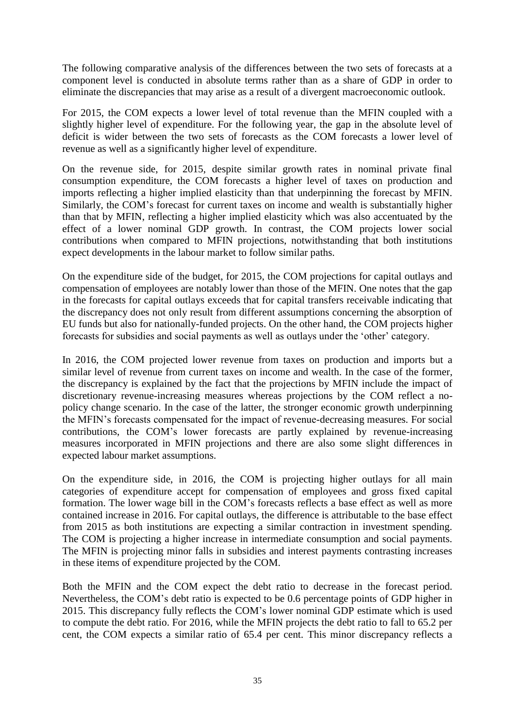The following comparative analysis of the differences between the two sets of forecasts at a component level is conducted in absolute terms rather than as a share of GDP in order to eliminate the discrepancies that may arise as a result of a divergent macroeconomic outlook.

For 2015, the COM expects a lower level of total revenue than the MFIN coupled with a slightly higher level of expenditure. For the following year, the gap in the absolute level of deficit is wider between the two sets of forecasts as the COM forecasts a lower level of revenue as well as a significantly higher level of expenditure.

On the revenue side, for 2015, despite similar growth rates in nominal private final consumption expenditure, the COM forecasts a higher level of taxes on production and imports reflecting a higher implied elasticity than that underpinning the forecast by MFIN. Similarly, the COM's forecast for current taxes on income and wealth is substantially higher than that by MFIN, reflecting a higher implied elasticity which was also accentuated by the effect of a lower nominal GDP growth. In contrast, the COM projects lower social contributions when compared to MFIN projections, notwithstanding that both institutions expect developments in the labour market to follow similar paths.

On the expenditure side of the budget, for 2015, the COM projections for capital outlays and compensation of employees are notably lower than those of the MFIN. One notes that the gap in the forecasts for capital outlays exceeds that for capital transfers receivable indicating that the discrepancy does not only result from different assumptions concerning the absorption of EU funds but also for nationally-funded projects. On the other hand, the COM projects higher forecasts for subsidies and social payments as well as outlays under the 'other' category.

In 2016, the COM projected lower revenue from taxes on production and imports but a similar level of revenue from current taxes on income and wealth. In the case of the former, the discrepancy is explained by the fact that the projections by MFIN include the impact of discretionary revenue-increasing measures whereas projections by the COM reflect a nopolicy change scenario. In the case of the latter, the stronger economic growth underpinning the MFIN's forecasts compensated for the impact of revenue-decreasing measures. For social contributions, the COM's lower forecasts are partly explained by revenue-increasing measures incorporated in MFIN projections and there are also some slight differences in expected labour market assumptions.

On the expenditure side, in 2016, the COM is projecting higher outlays for all main categories of expenditure accept for compensation of employees and gross fixed capital formation. The lower wage bill in the COM's forecasts reflects a base effect as well as more contained increase in 2016. For capital outlays, the difference is attributable to the base effect from 2015 as both institutions are expecting a similar contraction in investment spending. The COM is projecting a higher increase in intermediate consumption and social payments. The MFIN is projecting minor falls in subsidies and interest payments contrasting increases in these items of expenditure projected by the COM.

Both the MFIN and the COM expect the debt ratio to decrease in the forecast period. Nevertheless, the COM's debt ratio is expected to be 0.6 percentage points of GDP higher in 2015. This discrepancy fully reflects the COM's lower nominal GDP estimate which is used to compute the debt ratio. For 2016, while the MFIN projects the debt ratio to fall to 65.2 per cent, the COM expects a similar ratio of 65.4 per cent. This minor discrepancy reflects a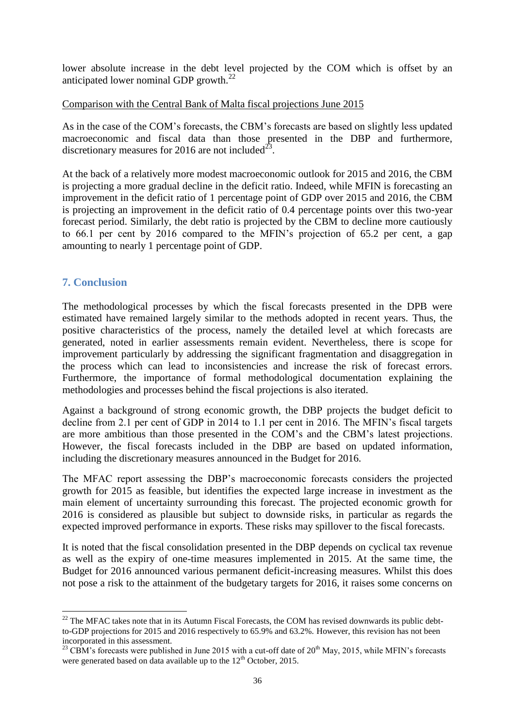lower absolute increase in the debt level projected by the COM which is offset by an anticipated lower nominal GDP growth. $^{22}$ 

## Comparison with the Central Bank of Malta fiscal projections June 2015

As in the case of the COM's forecasts, the CBM's forecasts are based on slightly less updated macroeconomic and fiscal data than those presented in the DBP and furthermore, discretionary measures for 2016 are not included<sup>2</sup> .

At the back of a relatively more modest macroeconomic outlook for 2015 and 2016, the CBM is projecting a more gradual decline in the deficit ratio. Indeed, while MFIN is forecasting an improvement in the deficit ratio of 1 percentage point of GDP over 2015 and 2016, the CBM is projecting an improvement in the deficit ratio of 0.4 percentage points over this two-year forecast period. Similarly, the debt ratio is projected by the CBM to decline more cautiously to 66.1 per cent by 2016 compared to the MFIN's projection of 65.2 per cent, a gap amounting to nearly 1 percentage point of GDP.

## **7. Conclusion**

The methodological processes by which the fiscal forecasts presented in the DPB were estimated have remained largely similar to the methods adopted in recent years. Thus, the positive characteristics of the process, namely the detailed level at which forecasts are generated, noted in earlier assessments remain evident. Nevertheless, there is scope for improvement particularly by addressing the significant fragmentation and disaggregation in the process which can lead to inconsistencies and increase the risk of forecast errors. Furthermore, the importance of formal methodological documentation explaining the methodologies and processes behind the fiscal projections is also iterated.

Against a background of strong economic growth, the DBP projects the budget deficit to decline from 2.1 per cent of GDP in 2014 to 1.1 per cent in 2016. The MFIN's fiscal targets are more ambitious than those presented in the COM's and the CBM's latest projections. However, the fiscal forecasts included in the DBP are based on updated information, including the discretionary measures announced in the Budget for 2016.

The MFAC report assessing the DBP's macroeconomic forecasts considers the projected growth for 2015 as feasible, but identifies the expected large increase in investment as the main element of uncertainty surrounding this forecast. The projected economic growth for 2016 is considered as plausible but subject to downside risks, in particular as regards the expected improved performance in exports. These risks may spillover to the fiscal forecasts.

It is noted that the fiscal consolidation presented in the DBP depends on cyclical tax revenue as well as the expiry of one-time measures implemented in 2015. At the same time, the Budget for 2016 announced various permanent deficit-increasing measures. Whilst this does not pose a risk to the attainment of the budgetary targets for 2016, it raises some concerns on

**<sup>.</sup>**  $22$  The MFAC takes note that in its Autumn Fiscal Forecasts, the COM has revised downwards its public debtto-GDP projections for 2015 and 2016 respectively to 65.9% and 63.2%. However, this revision has not been incorporated in this assessment.

<sup>&</sup>lt;sup>23</sup> CBM's forecasts were published in June 2015 with a cut-off date of  $20<sup>th</sup>$  May, 2015, while MFIN's forecasts were generated based on data available up to the  $12<sup>th</sup>$  October, 2015.